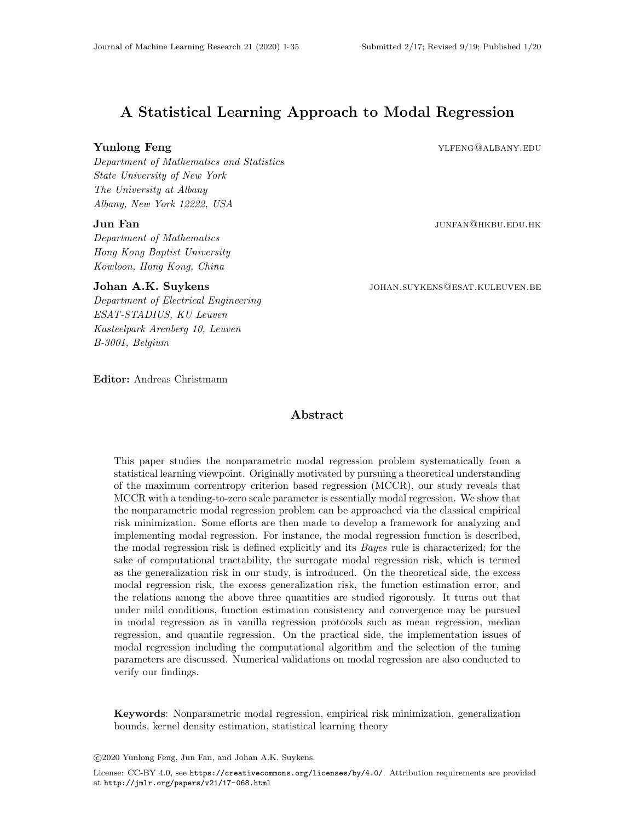# A Statistical Learning Approach to Modal Regression

**Yunlong Feng** YLFENG@ALBANY.EDU

Department of Mathematics and Statistics State University of New York The University at Albany Albany, New York 12222, USA

#### $\mathbf{Jun}$   $\mathbf{Fan}$   $\mathbf{Jun}$   $\mathbf{Fan}$   $\mathbf{Hk}$   $\mathbf{hu}$   $\mathbf{Fin}$   $\mathbf{Hk}$   $\mathbf{BU}$  . Hence  $\mathbf{Hk}$

Department of Mathematics Hong Kong Baptist University Kowloon, Hong Kong, China

#### Johan A.K. Suykens johan.suykens@esat.kuleuven.be

Department of Electrical Engineering ESAT-STADIUS, KU Leuven Kasteelpark Arenberg 10, Leuven B-3001, Belgium

Editor: Andreas Christmann

# Abstract

This paper studies the nonparametric modal regression problem systematically from a statistical learning viewpoint. Originally motivated by pursuing a theoretical understanding of the maximum correntropy criterion based regression (MCCR), our study reveals that MCCR with a tending-to-zero scale parameter is essentially modal regression. We show that the nonparametric modal regression problem can be approached via the classical empirical risk minimization. Some efforts are then made to develop a framework for analyzing and implementing modal regression. For instance, the modal regression function is described, the modal regression risk is defined explicitly and its Bayes rule is characterized; for the sake of computational tractability, the surrogate modal regression risk, which is termed as the generalization risk in our study, is introduced. On the theoretical side, the excess modal regression risk, the excess generalization risk, the function estimation error, and the relations among the above three quantities are studied rigorously. It turns out that under mild conditions, function estimation consistency and convergence may be pursued in modal regression as in vanilla regression protocols such as mean regression, median regression, and quantile regression. On the practical side, the implementation issues of modal regression including the computational algorithm and the selection of the tuning parameters are discussed. Numerical validations on modal regression are also conducted to verify our findings.

Keywords: Nonparametric modal regression, empirical risk minimization, generalization bounds, kernel density estimation, statistical learning theory

c 2020 Yunlong Feng, Jun Fan, and Johan A.K. Suykens.

License: CC-BY 4.0, see <https://creativecommons.org/licenses/by/4.0/>. Attribution requirements are provided at <http://jmlr.org/papers/v21/17-068.html>.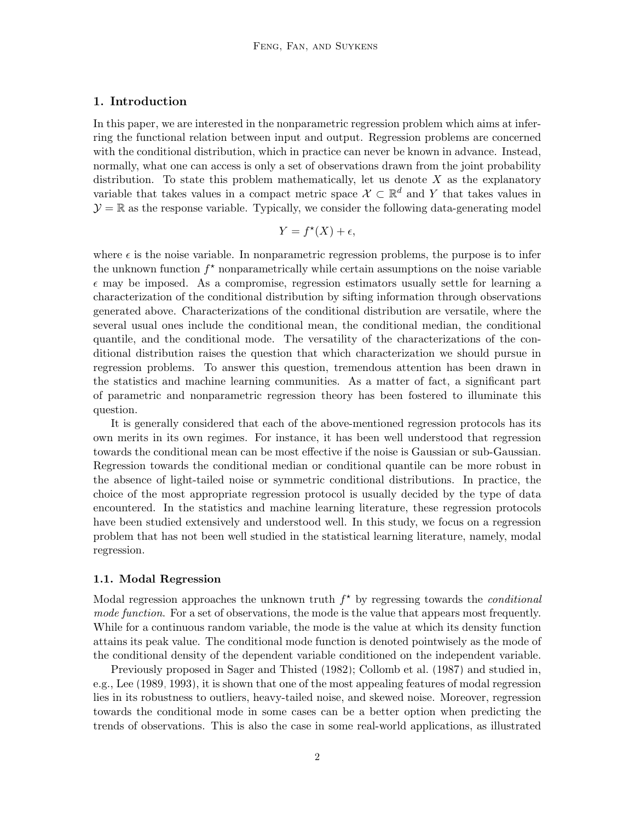# 1. Introduction

In this paper, we are interested in the nonparametric regression problem which aims at inferring the functional relation between input and output. Regression problems are concerned with the conditional distribution, which in practice can never be known in advance. Instead, normally, what one can access is only a set of observations drawn from the joint probability distribution. To state this problem mathematically, let us denote  $X$  as the explanatory variable that takes values in a compact metric space  $\mathcal{X} \subset \mathbb{R}^d$  and Y that takes values in  $\mathcal{Y} = \mathbb{R}$  as the response variable. Typically, we consider the following data-generating model

$$
Y = f^*(X) + \epsilon,
$$

where  $\epsilon$  is the noise variable. In nonparametric regression problems, the purpose is to infer the unknown function  $f^*$  nonparametrically while certain assumptions on the noise variable  $\epsilon$  may be imposed. As a compromise, regression estimators usually settle for learning a characterization of the conditional distribution by sifting information through observations generated above. Characterizations of the conditional distribution are versatile, where the several usual ones include the conditional mean, the conditional median, the conditional quantile, and the conditional mode. The versatility of the characterizations of the conditional distribution raises the question that which characterization we should pursue in regression problems. To answer this question, tremendous attention has been drawn in the statistics and machine learning communities. As a matter of fact, a significant part of parametric and nonparametric regression theory has been fostered to illuminate this question.

It is generally considered that each of the above-mentioned regression protocols has its own merits in its own regimes. For instance, it has been well understood that regression towards the conditional mean can be most effective if the noise is Gaussian or sub-Gaussian. Regression towards the conditional median or conditional quantile can be more robust in the absence of light-tailed noise or symmetric conditional distributions. In practice, the choice of the most appropriate regression protocol is usually decided by the type of data encountered. In the statistics and machine learning literature, these regression protocols have been studied extensively and understood well. In this study, we focus on a regression problem that has not been well studied in the statistical learning literature, namely, modal regression.

#### 1.1. Modal Regression

Modal regression approaches the unknown truth  $f^*$  by regressing towards the *conditional* mode function. For a set of observations, the mode is the value that appears most frequently. While for a continuous random variable, the mode is the value at which its density function attains its peak value. The conditional mode function is denoted pointwisely as the mode of the conditional density of the dependent variable conditioned on the independent variable.

Previously proposed in [Sager and Thisted \(1982\)](#page-33-0); [Collomb et al. \(1987\)](#page-31-0) and studied in, e.g., [Lee \(1989,](#page-33-1) [1993\)](#page-33-2), it is shown that one of the most appealing features of modal regression lies in its robustness to outliers, heavy-tailed noise, and skewed noise. Moreover, regression towards the conditional mode in some cases can be a better option when predicting the trends of observations. This is also the case in some real-world applications, as illustrated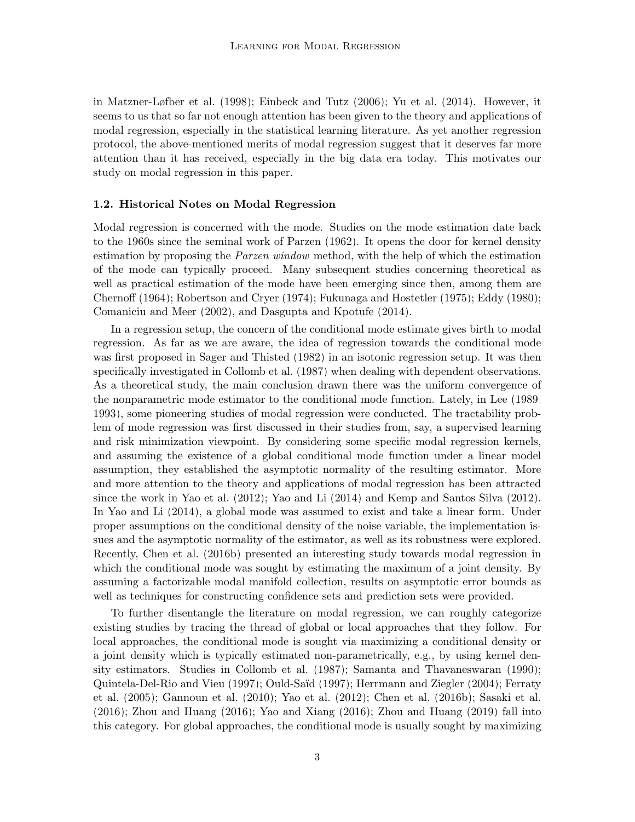in [Matzner-Løfber et al. \(1998\)](#page-33-3); [Einbeck and Tutz \(2006\)](#page-32-0); [Yu et al. \(2014\)](#page-34-1). However, it seems to us that so far not enough attention has been given to the theory and applications of modal regression, especially in the statistical learning literature. As yet another regression protocol, the above-mentioned merits of modal regression suggest that it deserves far more attention than it has received, especially in the big data era today. This motivates our study on modal regression in this paper.

#### 1.2. Historical Notes on Modal Regression

Modal regression is concerned with the mode. Studies on the mode estimation date back to the 1960s since the seminal work of [Parzen \(1962\)](#page-33-4). It opens the door for kernel density estimation by proposing the *Parzen window* method, with the help of which the estimation of the mode can typically proceed. Many subsequent studies concerning theoretical as well as practical estimation of the mode have been emerging since then, among them are [Chernoff \(1964\)](#page-31-1); [Robertson and Cryer \(1974\)](#page-33-5); [Fukunaga and Hostetler \(1975\)](#page-32-1); [Eddy \(1980\)](#page-32-2); [Comaniciu and Meer \(2002\)](#page-31-2), and [Dasgupta and Kpotufe \(2014\)](#page-31-3).

In a regression setup, the concern of the conditional mode estimate gives birth to modal regression. As far as we are aware, the idea of regression towards the conditional mode was first proposed in [Sager and Thisted \(1982\)](#page-33-0) in an isotonic regression setup. It was then specifically investigated in [Collomb et al. \(1987\)](#page-31-0) when dealing with dependent observations. As a theoretical study, the main conclusion drawn there was the uniform convergence of the nonparametric mode estimator to the conditional mode function. Lately, in [Lee \(1989,](#page-33-1) [1993\)](#page-33-2), some pioneering studies of modal regression were conducted. The tractability problem of mode regression was first discussed in their studies from, say, a supervised learning and risk minimization viewpoint. By considering some specific modal regression kernels, and assuming the existence of a global conditional mode function under a linear model assumption, they established the asymptotic normality of the resulting estimator. More and more attention to the theory and applications of modal regression has been attracted since the work in [Yao et al. \(2012\)](#page-34-2); [Yao and Li \(2014\)](#page-34-3) and [Kemp and Santos Silva \(2012\)](#page-32-3). In [Yao and Li \(2014\)](#page-34-3), a global mode was assumed to exist and take a linear form. Under proper assumptions on the conditional density of the noise variable, the implementation issues and the asymptotic normality of the estimator, as well as its robustness were explored. Recently, [Chen et al. \(2016b\)](#page-31-4) presented an interesting study towards modal regression in which the conditional mode was sought by estimating the maximum of a joint density. By assuming a factorizable modal manifold collection, results on asymptotic error bounds as well as techniques for constructing confidence sets and prediction sets were provided.

To further disentangle the literature on modal regression, we can roughly categorize existing studies by tracing the thread of global or local approaches that they follow. For local approaches, the conditional mode is sought via maximizing a conditional density or a joint density which is typically estimated non-parametrically, e.g., by using kernel density estimators. Studies in [Collomb et al. \(1987\)](#page-31-0); [Samanta and Thavaneswaran \(1990\)](#page-34-4); [Quintela-Del-Rio and Vieu \(1997\)](#page-33-6); Ould-Saïd (1997); [Herrmann and Ziegler \(2004\)](#page-32-4); [Ferraty](#page-32-5) [et al. \(2005\)](#page-32-5); [Gannoun et al. \(2010\)](#page-32-6); [Yao et al. \(2012\)](#page-34-2); [Chen et al. \(2016b\)](#page-31-4); [Sasaki et al.](#page-34-5) [\(2016\)](#page-34-5); [Zhou and Huang \(2016\)](#page-34-6); [Yao and Xiang \(2016\)](#page-34-7); [Zhou and Huang \(2019\)](#page-34-8) fall into this category. For global approaches, the conditional mode is usually sought by maximizing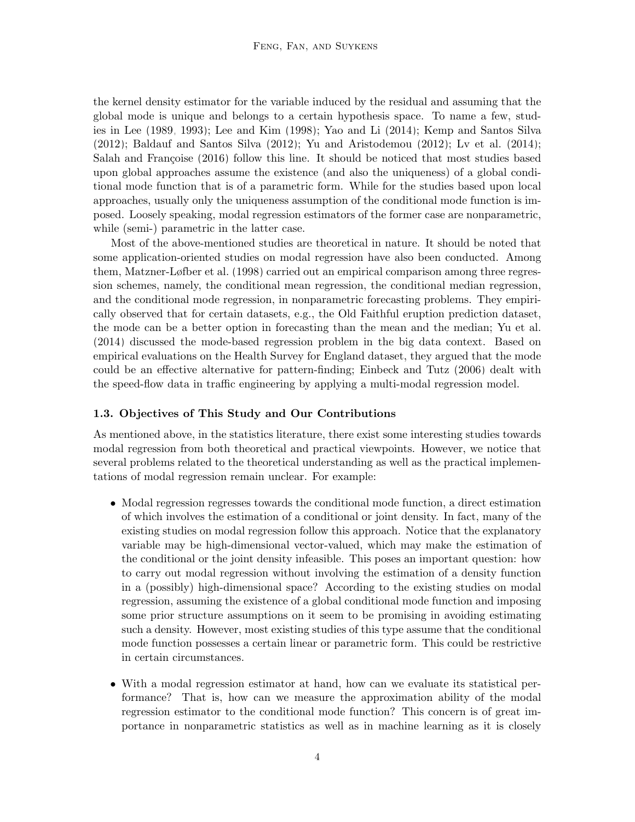the kernel density estimator for the variable induced by the residual and assuming that the global mode is unique and belongs to a certain hypothesis space. To name a few, studies in [Lee \(1989,](#page-33-1) [1993\)](#page-33-2); [Lee and Kim \(1998\)](#page-33-8); [Yao and Li \(2014\)](#page-34-3); [Kemp and Santos Silva](#page-32-3) [\(2012\)](#page-32-3); [Baldauf and Santos Silva \(2012\)](#page-31-5); [Yu and Aristodemou \(2012\)](#page-34-9); [Lv et al. \(2014\)](#page-33-9); Salah and Françoise (2016) follow this line. It should be noticed that most studies based upon global approaches assume the existence (and also the uniqueness) of a global conditional mode function that is of a parametric form. While for the studies based upon local approaches, usually only the uniqueness assumption of the conditional mode function is imposed. Loosely speaking, modal regression estimators of the former case are nonparametric, while (semi-) parametric in the latter case.

Most of the above-mentioned studies are theoretical in nature. It should be noted that some application-oriented studies on modal regression have also been conducted. Among them, [Matzner-Løfber et al. \(1998\)](#page-33-3) carried out an empirical comparison among three regression schemes, namely, the conditional mean regression, the conditional median regression, and the conditional mode regression, in nonparametric forecasting problems. They empirically observed that for certain datasets, e.g., the Old Faithful eruption prediction dataset, the mode can be a better option in forecasting than the mean and the median; [Yu et al.](#page-34-1) [\(2014\)](#page-34-1) discussed the mode-based regression problem in the big data context. Based on empirical evaluations on the Health Survey for England dataset, they argued that the mode could be an effective alternative for pattern-finding; [Einbeck and Tutz \(2006\)](#page-32-0) dealt with the speed-flow data in traffic engineering by applying a multi-modal regression model.

#### 1.3. Objectives of This Study and Our Contributions

As mentioned above, in the statistics literature, there exist some interesting studies towards modal regression from both theoretical and practical viewpoints. However, we notice that several problems related to the theoretical understanding as well as the practical implementations of modal regression remain unclear. For example:

- Modal regression regresses towards the conditional mode function, a direct estimation of which involves the estimation of a conditional or joint density. In fact, many of the existing studies on modal regression follow this approach. Notice that the explanatory variable may be high-dimensional vector-valued, which may make the estimation of the conditional or the joint density infeasible. This poses an important question: how to carry out modal regression without involving the estimation of a density function in a (possibly) high-dimensional space? According to the existing studies on modal regression, assuming the existence of a global conditional mode function and imposing some prior structure assumptions on it seem to be promising in avoiding estimating such a density. However, most existing studies of this type assume that the conditional mode function possesses a certain linear or parametric form. This could be restrictive in certain circumstances.
- With a modal regression estimator at hand, how can we evaluate its statistical performance? That is, how can we measure the approximation ability of the modal regression estimator to the conditional mode function? This concern is of great importance in nonparametric statistics as well as in machine learning as it is closely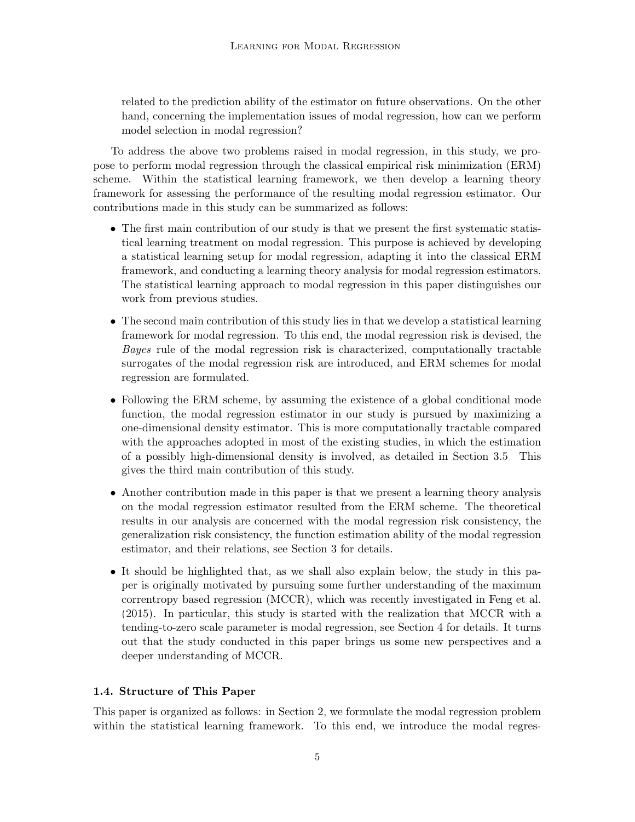related to the prediction ability of the estimator on future observations. On the other hand, concerning the implementation issues of modal regression, how can we perform model selection in modal regression?

To address the above two problems raised in modal regression, in this study, we propose to perform modal regression through the classical empirical risk minimization (ERM) scheme. Within the statistical learning framework, we then develop a learning theory framework for assessing the performance of the resulting modal regression estimator. Our contributions made in this study can be summarized as follows:

- The first main contribution of our study is that we present the first systematic statistical learning treatment on modal regression. This purpose is achieved by developing a statistical learning setup for modal regression, adapting it into the classical ERM framework, and conducting a learning theory analysis for modal regression estimators. The statistical learning approach to modal regression in this paper distinguishes our work from previous studies.
- The second main contribution of this study lies in that we develop a statistical learning framework for modal regression. To this end, the modal regression risk is devised, the Bayes rule of the modal regression risk is characterized, computationally tractable surrogates of the modal regression risk are introduced, and ERM schemes for modal regression are formulated.
- Following the ERM scheme, by assuming the existence of a global conditional mode function, the modal regression estimator in our study is pursued by maximizing a one-dimensional density estimator. This is more computationally tractable compared with the approaches adopted in most of the existing studies, in which the estimation of a possibly high-dimensional density is involved, as detailed in Section [3.5.](#page-19-0) This gives the third main contribution of this study.
- Another contribution made in this paper is that we present a learning theory analysis on the modal regression estimator resulted from the ERM scheme. The theoretical results in our analysis are concerned with the modal regression risk consistency, the generalization risk consistency, the function estimation ability of the modal regression estimator, and their relations, see Section [3](#page-10-0) for details.
- It should be highlighted that, as we shall also explain below, the study in this paper is originally motivated by pursuing some further understanding of the maximum correntropy based regression (MCCR), which was recently investigated in [Feng et al.](#page-32-7) [\(2015\)](#page-32-7). In particular, this study is started with the realization that MCCR with a tending-to-zero scale parameter is modal regression, see Section [4](#page-20-0) for details. It turns out that the study conducted in this paper brings us some new perspectives and a deeper understanding of MCCR.

# 1.4. Structure of This Paper

This paper is organized as follows: in Section [2,](#page-6-0) we formulate the modal regression problem within the statistical learning framework. To this end, we introduce the modal regres-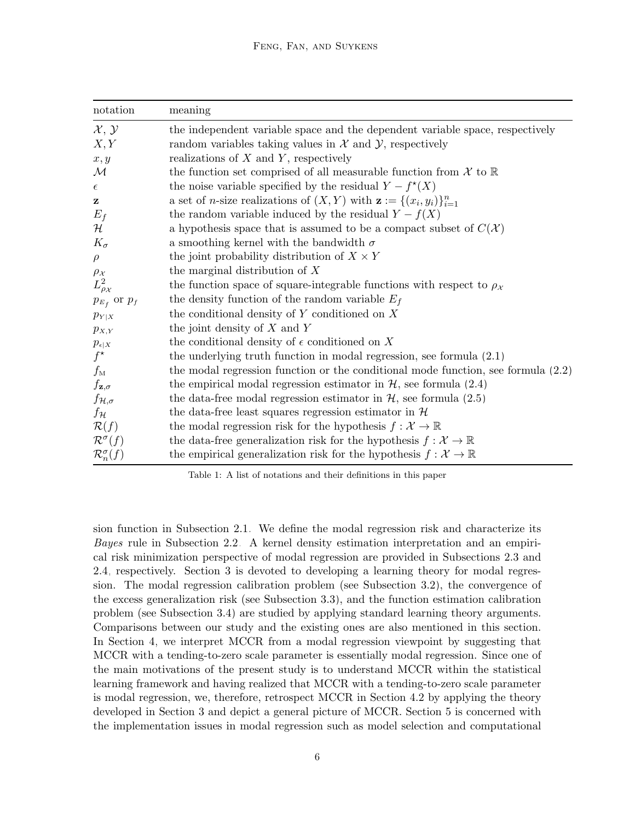<span id="page-5-0"></span>

| notation                    | meaning                                                                                      |
|-----------------------------|----------------------------------------------------------------------------------------------|
| $\mathcal{X}, \mathcal{Y}$  | the independent variable space and the dependent variable space, respectively                |
| X, Y                        | random variables taking values in $X$ and $Y$ , respectively                                 |
| x, y                        | realizations of $X$ and $Y$ , respectively                                                   |
| $\mathcal M$                | the function set comprised of all measurable function from $\mathcal X$ to $\mathbb R$       |
| $\epsilon$                  | the noise variable specified by the residual $Y - f^*(X)$                                    |
| z                           | a set of <i>n</i> -size realizations of $(X, Y)$ with $\mathbf{z} := \{(x_i, y_i)\}_{i=1}^n$ |
| $E_f$                       | the random variable induced by the residual $Y - f(X)$                                       |
| ${\cal H}$                  | a hypothesis space that is assumed to be a compact subset of $C(\mathcal{X})$                |
| $K_{\sigma}$                | a smoothing kernel with the bandwidth $\sigma$                                               |
| $\rho$                      | the joint probability distribution of $X \times Y$                                           |
| $\rho_{\mathcal{X}}$        | the marginal distribution of $X$                                                             |
| $L^2_{\rho_{\mathcal{X}}}$  | the function space of square-integrable functions with respect to $\rho_{\mathcal{X}}$       |
| $p_{E_f}$ or $p_f$          | the density function of the random variable $E_f$                                            |
| $p_{Y X}$                   | the conditional density of $Y$ conditioned on $X$                                            |
| $p_{X,Y}$                   | the joint density of $X$ and $Y$                                                             |
| $p_{\epsilon X}$            | the conditional density of $\epsilon$ conditioned on X                                       |
| $f^{\star}$                 | the underlying truth function in modal regression, see formula $(2.1)$                       |
| $f_{\rm M}$                 | the modal regression function or the conditional mode function, see formula $(2.2)$          |
| $f_{\mathbf{z},\sigma}$     | the empirical modal regression estimator in $H$ , see formula (2.4)                          |
| $f_{\mathcal{H},\sigma}$    | the data-free modal regression estimator in $H$ , see formula (2.5)                          |
| fн                          | the data-free least squares regression estimator in $\mathcal H$                             |
| $\mathcal{R}(f)$            | the modal regression risk for the hypothesis $f: \mathcal{X} \to \mathbb{R}$                 |
| $\mathcal{R}^{\sigma}(f)$   | the data-free generalization risk for the hypothesis $f: \mathcal{X} \to \mathbb{R}$         |
| $\mathcal{R}_n^{\sigma}(f)$ | the empirical generalization risk for the hypothesis $f: \mathcal{X} \to \mathbb{R}$         |

Table 1: A list of notations and their definitions in this paper

sion function in Subsection [2.1.](#page-6-3) We define the modal regression risk and characterize its Bayes rule in Subsection [2.2.](#page-7-0) A kernel density estimation interpretation and an empirical risk minimization perspective of modal regression are provided in Subsections [2.3](#page-8-0) and [2.4,](#page-10-1) respectively. Section [3](#page-10-0) is devoted to developing a learning theory for modal regression. The modal regression calibration problem (see Subsection [3.2\)](#page-11-0), the convergence of the excess generalization risk (see Subsection [3.3\)](#page-13-0), and the function estimation calibration problem (see Subsection [3.4\)](#page-17-0) are studied by applying standard learning theory arguments. Comparisons between our study and the existing ones are also mentioned in this section. In Section [4,](#page-20-0) we interpret MCCR from a modal regression viewpoint by suggesting that MCCR with a tending-to-zero scale parameter is essentially modal regression. Since one of the main motivations of the present study is to understand MCCR within the statistical learning framework and having realized that MCCR with a tending-to-zero scale parameter is modal regression, we, therefore, retrospect MCCR in Section [4.2](#page-21-0) by applying the theory developed in Section [3](#page-10-0) and depict a general picture of MCCR. Section [5](#page-24-0) is concerned with the implementation issues in modal regression such as model selection and computational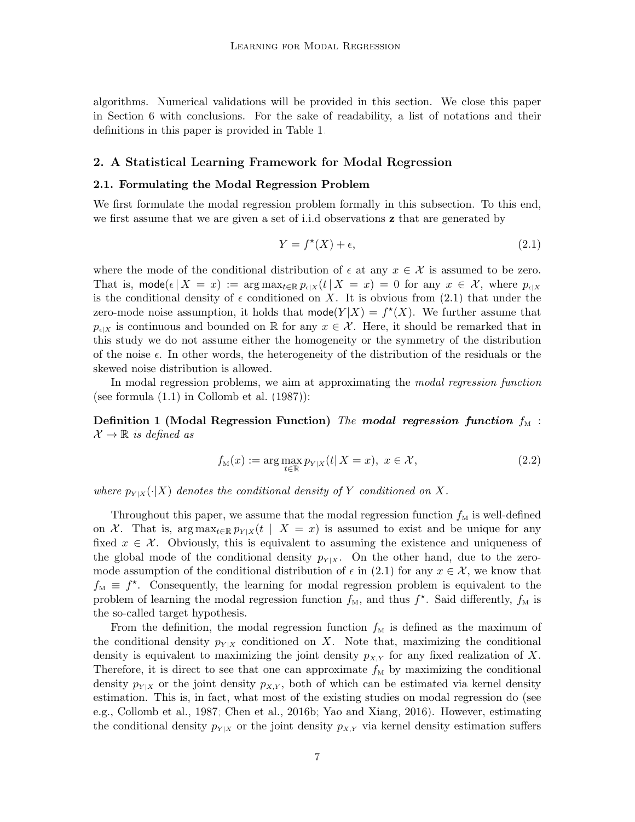algorithms. Numerical validations will be provided in this section. We close this paper in Section [6](#page-30-0) with conclusions. For the sake of readability, a list of notations and their definitions in this paper is provided in Table [1.](#page-5-0)

### <span id="page-6-0"></span>2. A Statistical Learning Framework for Modal Regression

#### <span id="page-6-3"></span>2.1. Formulating the Modal Regression Problem

We first formulate the modal regression problem formally in this subsection. To this end, we first assume that we are given a set of i.i.d observations z that are generated by

<span id="page-6-1"></span>
$$
Y = f^*(X) + \epsilon,\tag{2.1}
$$

where the mode of the conditional distribution of  $\epsilon$  at any  $x \in \mathcal{X}$  is assumed to be zero. That is, mode $(\epsilon | X = x) := \arg \max_{t \in \mathbb{R}} p_{\epsilon | X}(t | X = x) = 0$  for any  $x \in \mathcal{X}$ , where  $p_{\epsilon | X}$ is the conditional density of  $\epsilon$  conditioned on X. It is obvious from [\(2.1\)](#page-6-1) that under the zero-mode noise assumption, it holds that  $\text{mode}(Y|X) = f^*(X)$ . We further assume that  $p_{\epsilon|X}$  is continuous and bounded on R for any  $x \in \mathcal{X}$ . Here, it should be remarked that in this study we do not assume either the homogeneity or the symmetry of the distribution of the noise  $\epsilon$ . In other words, the heterogeneity of the distribution of the residuals or the skewed noise distribution is allowed.

In modal regression problems, we aim at approximating the modal regression function (see formula  $(1.1)$  in Collomb et al.  $(1987)$ ):

Definition 1 (Modal Regression Function) The modal regression function  $f_M$ :  $\mathcal{X} \to \mathbb{R}$  is defined as

<span id="page-6-2"></span>
$$
f_{\mathcal{M}}(x) := \arg \max_{t \in \mathbb{R}} p_{Y|X}(t | X = x), \ x \in \mathcal{X}, \tag{2.2}
$$

where  $p_{Y|X}(\cdot|X)$  denotes the conditional density of Y conditioned on X.

Throughout this paper, we assume that the modal regression function  $f_M$  is well-defined on X. That is, arg max $t_{\epsilon \in \mathbb{R}} p_{Y|X}(t \mid X = x)$  is assumed to exist and be unique for any fixed  $x \in \mathcal{X}$ . Obviously, this is equivalent to assuming the existence and uniqueness of the global mode of the conditional density  $p_{Y|X}$ . On the other hand, due to the zeromode assumption of the conditional distribution of  $\epsilon$  in [\(2.1\)](#page-6-1) for any  $x \in \mathcal{X}$ , we know that  $f_{\text{M}} \equiv f^*$ . Consequently, the learning for modal regression problem is equivalent to the problem of learning the modal regression function  $f_M$ , and thus  $f^*$ . Said differently,  $f_M$  is the so-called target hypothesis.

From the definition, the modal regression function  $f_M$  is defined as the maximum of the conditional density  $p_{Y|X}$  conditioned on X. Note that, maximizing the conditional density is equivalent to maximizing the joint density  $p_{X,Y}$  for any fixed realization of X. Therefore, it is direct to see that one can approximate  $f_M$  by maximizing the conditional density  $p_{Y|X}$  or the joint density  $p_{X,Y}$ , both of which can be estimated via kernel density estimation. This is, in fact, what most of the existing studies on modal regression do (see e.g., [Collomb et al., 1987;](#page-31-0) [Chen et al., 2016b;](#page-31-4) [Yao and Xiang, 2016\)](#page-34-7). However, estimating the conditional density  $p_{Y|X}$  or the joint density  $p_{X,Y}$  via kernel density estimation suffers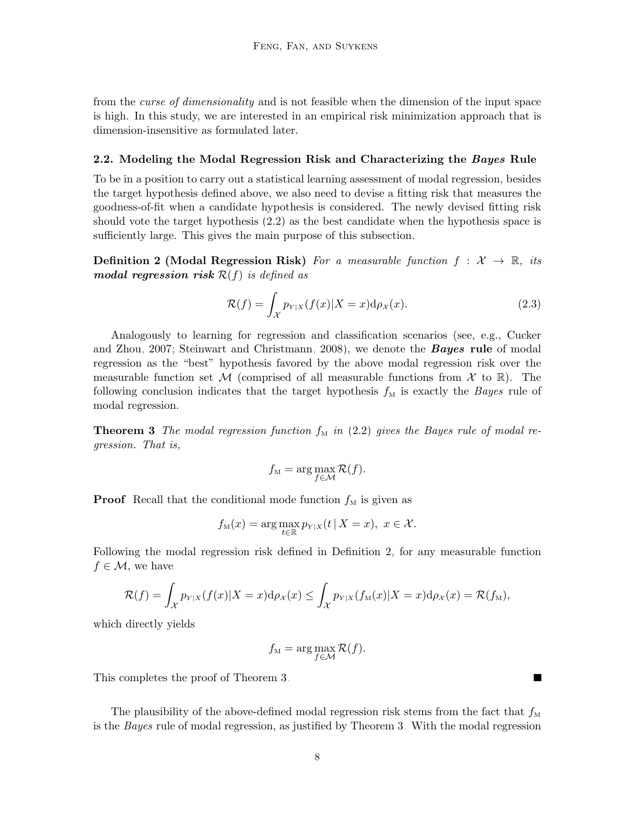from the *curse of dimensionality* and is not feasible when the dimension of the input space is high. In this study, we are interested in an empirical risk minimization approach that is dimension-insensitive as formulated later.

#### <span id="page-7-0"></span>2.2. Modeling the Modal Regression Risk and Characterizing the Bayes Rule

To be in a position to carry out a statistical learning assessment of modal regression, besides the target hypothesis defined above, we also need to devise a fitting risk that measures the goodness-of-fit when a candidate hypothesis is considered. The newly devised fitting risk should vote the target hypothesis [\(2.2\)](#page-6-2) as the best candidate when the hypothesis space is sufficiently large. This gives the main purpose of this subsection.

<span id="page-7-1"></span>**Definition 2 (Modal Regression Risk)** For a measurable function  $f : \mathcal{X} \to \mathbb{R}$ , its modal regression risk  $\mathcal{R}(f)$  is defined as

<span id="page-7-3"></span>
$$
\mathcal{R}(f) = \int_{\mathcal{X}} p_{Y|X}(f(x)|X=x) \mathrm{d}\rho_X(x). \tag{2.3}
$$

Analogously to learning for regression and classification scenarios (see, e.g., [Cucker](#page-31-6) [and Zhou, 2007;](#page-31-6) [Steinwart and Christmann, 2008\)](#page-34-10), we denote the **Bayes rule** of modal regression as the "best" hypothesis favored by the above modal regression risk over the measurable function set M (comprised of all measurable functions from  $\mathcal X$  to  $\mathbb R$ ). The following conclusion indicates that the target hypothesis  $f<sub>M</sub>$  is exactly the *Bayes* rule of modal regression.

<span id="page-7-2"></span>**Theorem 3** The modal regression function  $f_M$  in [\(2.2\)](#page-6-2) gives the Bayes rule of modal regression. That is,

$$
f_{\mathcal{M}} = \arg \max_{f \in \mathcal{M}} \mathcal{R}(f).
$$

**Proof** Recall that the conditional mode function  $f_M$  is given as

$$
f_{\mathcal{M}}(x) = \arg \max_{t \in \mathbb{R}} p_{Y|X}(t | X = x), \ x \in \mathcal{X}.
$$

Following the modal regression risk defined in Definition [2,](#page-7-1) for any measurable function  $f \in \mathcal{M}$ , we have

$$
\mathcal{R}(f) = \int_{\mathcal{X}} p_{Y|X}(f(x)|X=x) d\rho_{\mathcal{X}}(x) \le \int_{\mathcal{X}} p_{Y|X}(f_{M}(x)|X=x) d\rho_{\mathcal{X}}(x) = \mathcal{R}(f_{M}),
$$

which directly yields

$$
f_{\mathcal{M}} = \arg \max_{f \in \mathcal{M}} \mathcal{R}(f).
$$

This completes the proof of Theorem [3.](#page-7-2)

The plausibility of the above-defined modal regression risk stems from the fact that  $f_{\text{M}}$ is the Bayes rule of modal regression, as justified by Theorem [3.](#page-7-2) With the modal regression

 $\blacksquare$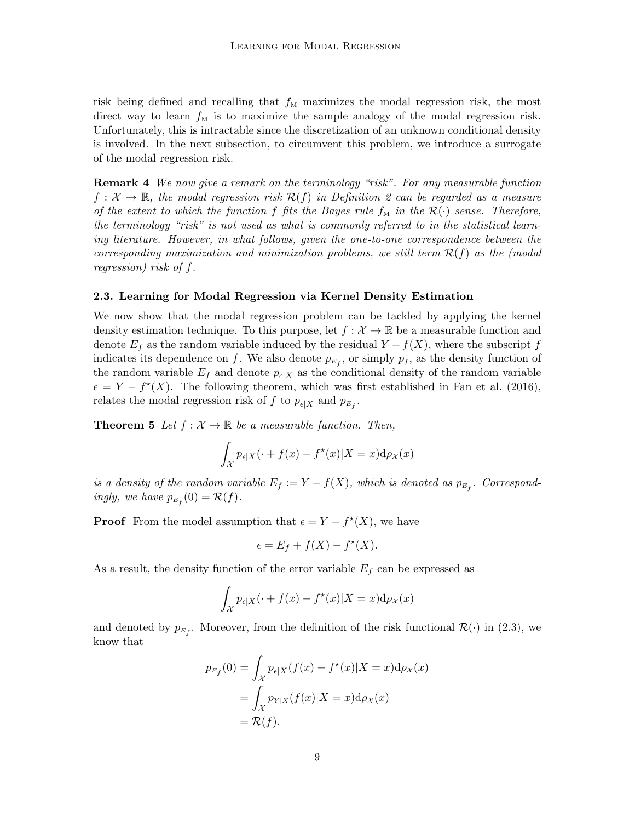risk being defined and recalling that  $f_M$  maximizes the modal regression risk, the most direct way to learn  $f_M$  is to maximize the sample analogy of the modal regression risk. Unfortunately, this is intractable since the discretization of an unknown conditional density is involved. In the next subsection, to circumvent this problem, we introduce a surrogate of the modal regression risk.

**Remark 4** We now give a remark on the terminology "risk". For any measurable function  $f: \mathcal{X} \to \mathbb{R}$ , the modal regression risk  $\mathcal{R}(f)$  in Definition [2](#page-7-1) can be regarded as a measure of the extent to which the function f fits the Bayes rule  $f_M$  in the  $\mathcal{R}(\cdot)$  sense. Therefore, the terminology "risk" is not used as what is commonly referred to in the statistical learning literature. However, in what follows, given the one-to-one correspondence between the corresponding maximization and minimization problems, we still term  $\mathcal{R}(f)$  as the (modal regression) risk of f.

### <span id="page-8-0"></span>2.3. Learning for Modal Regression via Kernel Density Estimation

We now show that the modal regression problem can be tackled by applying the kernel density estimation technique. To this purpose, let  $f : \mathcal{X} \to \mathbb{R}$  be a measurable function and denote  $E_f$  as the random variable induced by the residual  $Y - f(X)$ , where the subscript f indicates its dependence on f. We also denote  $p_{E_f}$ , or simply  $p_f$ , as the density function of the random variable  $E_f$  and denote  $p_{\epsilon|X}$  as the conditional density of the random variable  $\epsilon = Y - f^*(X)$ . The following theorem, which was first established in [Fan et al. \(2016\)](#page-32-8), relates the modal regression risk of f to  $p_{\epsilon|X}$  and  $p_{E_f}$ .

<span id="page-8-1"></span>**Theorem 5** Let  $f : \mathcal{X} \to \mathbb{R}$  be a measurable function. Then,

$$
\int_{\mathcal{X}} p_{\epsilon|X}(\cdot + f(x) - f^{\star}(x)|X = x) d\rho_{\mathcal{X}}(x)
$$

is a density of the random variable  $E_f := Y - f(X)$ , which is denoted as  $p_{E_f}$ . Correspondingly, we have  $p_{E_f}(0) = \mathcal{R}(f)$ .

**Proof** From the model assumption that  $\epsilon = Y - f^*(X)$ , we have

$$
\epsilon = E_f + f(X) - f^*(X).
$$

As a result, the density function of the error variable  $E_f$  can be expressed as

$$
\int_{\mathcal{X}} p_{\epsilon|X}(\cdot + f(x) - f^{\star}(x)|X = x) d\rho_{\mathcal{X}}(x)
$$

and denoted by  $p_{E_f}$ . Moreover, from the definition of the risk functional  $\mathcal{R}(\cdot)$  in [\(2.3\)](#page-7-3), we know that

$$
p_{E_f}(0) = \int_{\mathcal{X}} p_{\epsilon|X}(f(x) - f^*(x)|X = x) d\rho_{\mathcal{X}}(x)
$$
  
= 
$$
\int_{\mathcal{X}} p_{Y|X}(f(x)|X = x) d\rho_{\mathcal{X}}(x)
$$
  
= 
$$
\mathcal{R}(f).
$$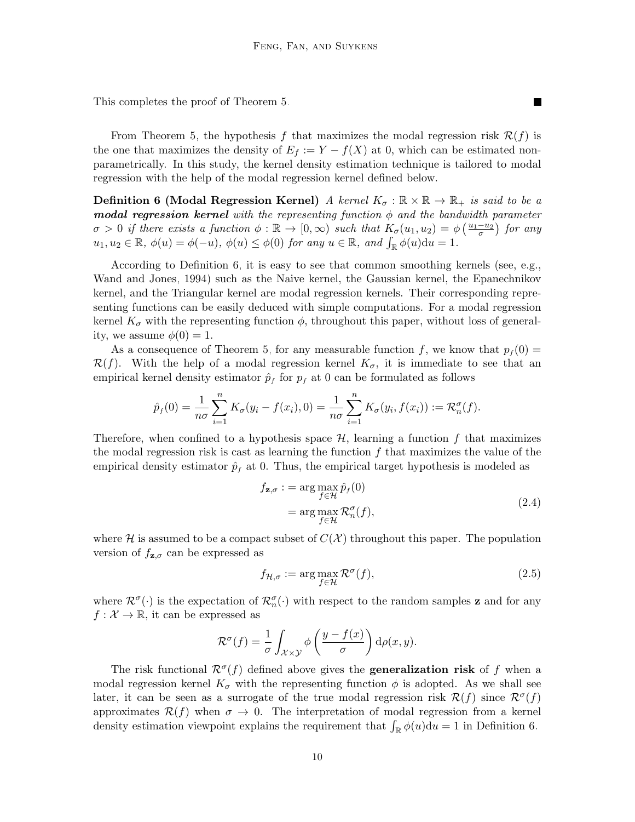This completes the proof of Theorem [5.](#page-8-1)

From Theorem [5,](#page-8-1) the hypothesis f that maximizes the modal regression risk  $\mathcal{R}(f)$  is the one that maximizes the density of  $E_f := Y - f(X)$  at 0, which can be estimated nonparametrically. In this study, the kernel density estimation technique is tailored to modal regression with the help of the modal regression kernel defined below.

<span id="page-9-2"></span>**Definition 6 (Modal Regression Kernel)** A kernel  $K_{\sigma} : \mathbb{R} \times \mathbb{R} \to \mathbb{R}_+$  is said to be a **modal regression kernel** with the representing function  $\phi$  and the bandwidth parameter  $\sigma > 0$  if there exists a function  $\phi : \mathbb{R} \to [0, \infty)$  such that  $K_{\sigma}(u_1, u_2) = \phi\left(\frac{u_1 - u_2}{\sigma}\right)$  for any  $u_1, u_2 \in \mathbb{R}, \ \phi(u) = \phi(-u), \ \phi(u) \leq \phi(0) \ \text{for any } u \in \mathbb{R}, \ \text{and } \int_{\mathbb{R}} \phi(u) \mathrm{d}u = 1.$ 

According to Definition [6,](#page-9-2) it is easy to see that common smoothing kernels (see, e.g., [Wand and Jones, 1994\)](#page-34-11) such as the Naive kernel, the Gaussian kernel, the Epanechnikov kernel, and the Triangular kernel are modal regression kernels. Their corresponding representing functions can be easily deduced with simple computations. For a modal regression kernel  $K_{\sigma}$  with the representing function  $\phi$ , throughout this paper, without loss of generality, we assume  $\phi(0) = 1$ .

As a consequence of Theorem [5,](#page-8-1) for any measurable function f, we know that  $p_f (0) =$  $\mathcal{R}(f)$ . With the help of a modal regression kernel  $K_{\sigma}$ , it is immediate to see that an empirical kernel density estimator  $\hat{p}_f$  for  $p_f$  at 0 can be formulated as follows

$$
\hat{p}_f(0) = \frac{1}{n\sigma} \sum_{i=1}^n K_{\sigma}(y_i - f(x_i), 0) = \frac{1}{n\sigma} \sum_{i=1}^n K_{\sigma}(y_i, f(x_i)) := \mathcal{R}_n^{\sigma}(f).
$$

Therefore, when confined to a hypothesis space  $H$ , learning a function f that maximizes the modal regression risk is cast as learning the function  $f$  that maximizes the value of the empirical density estimator  $\hat{p}_f$  at 0. Thus, the empirical target hypothesis is modeled as

<span id="page-9-0"></span>
$$
f_{\mathbf{z},\sigma} := \arg \max_{f \in \mathcal{H}} \hat{p}_f(0)
$$
  
= 
$$
\arg \max_{f \in \mathcal{H}} \mathcal{R}_n^{\sigma}(f),
$$
 (2.4)

П

where  $\mathcal H$  is assumed to be a compact subset of  $C(\mathcal X)$  throughout this paper. The population version of  $f_{\mathbf{z},\sigma}$  can be expressed as

<span id="page-9-1"></span>
$$
f_{\mathcal{H},\sigma} := \arg \max_{f \in \mathcal{H}} \mathcal{R}^{\sigma}(f),\tag{2.5}
$$

where  $\mathcal{R}^{\sigma}(\cdot)$  is the expectation of  $\mathcal{R}_{n}^{\sigma}(\cdot)$  with respect to the random samples **z** and for any  $f: \mathcal{X} \to \mathbb{R}$ , it can be expressed as

$$
\mathcal{R}^{\sigma}(f) = \frac{1}{\sigma} \int_{\mathcal{X} \times \mathcal{Y}} \phi\left(\frac{y - f(x)}{\sigma}\right) d\rho(x, y).
$$

The risk functional  $\mathcal{R}^{\sigma}(f)$  defined above gives the **generalization risk** of f when a modal regression kernel  $K_{\sigma}$  with the representing function  $\phi$  is adopted. As we shall see later, it can be seen as a surrogate of the true modal regression risk  $\mathcal{R}(f)$  since  $\mathcal{R}^{\sigma}(f)$ approximates  $\mathcal{R}(f)$  when  $\sigma \to 0$ . The interpretation of modal regression from a kernel density estimation viewpoint explains the requirement that  $\int_{\mathbb{R}} \phi(u) du = 1$  in Definition [6.](#page-9-2)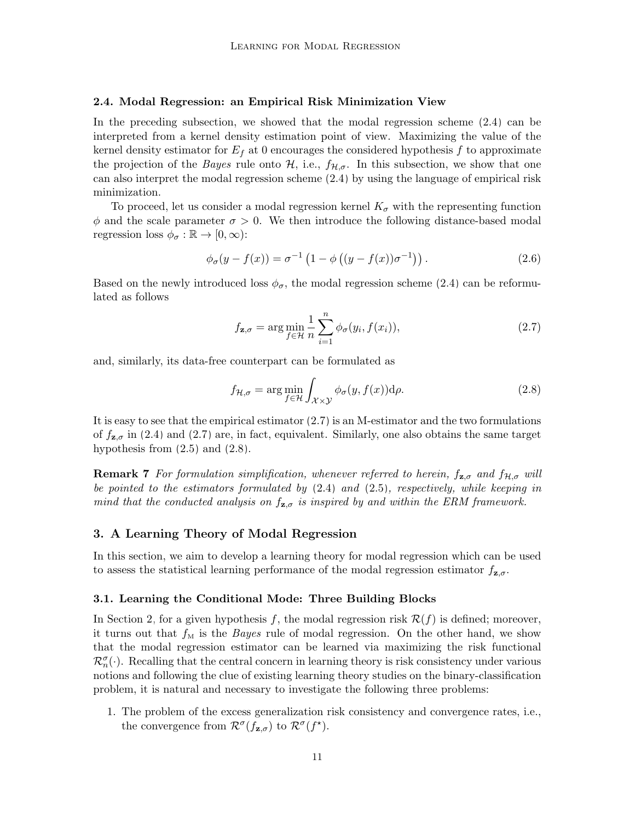#### <span id="page-10-1"></span>2.4. Modal Regression: an Empirical Risk Minimization View

In the preceding subsection, we showed that the modal regression scheme [\(2.4\)](#page-9-0) can be interpreted from a kernel density estimation point of view. Maximizing the value of the kernel density estimator for  $E_f$  at 0 encourages the considered hypothesis f to approximate the projection of the *Bayes* rule onto  $H$ , i.e.,  $f_{H,\sigma}$ . In this subsection, we show that one can also interpret the modal regression scheme [\(2.4\)](#page-9-0) by using the language of empirical risk minimization.

To proceed, let us consider a modal regression kernel  $K_{\sigma}$  with the representing function  $\phi$  and the scale parameter  $\sigma > 0$ . We then introduce the following distance-based modal regression loss  $\phi_{\sigma} : \mathbb{R} \to [0, \infty)$ :

$$
\phi_{\sigma}(y - f(x)) = \sigma^{-1} \left( 1 - \phi \left( (y - f(x)) \sigma^{-1} \right) \right). \tag{2.6}
$$

Based on the newly introduced loss  $\phi_{\sigma}$ , the modal regression scheme [\(2.4\)](#page-9-0) can be reformulated as follows

<span id="page-10-2"></span>
$$
f_{\mathbf{z},\sigma} = \arg\min_{f \in \mathcal{H}} \frac{1}{n} \sum_{i=1}^{n} \phi_{\sigma}(y_i, f(x_i)),
$$
\n(2.7)

and, similarly, its data-free counterpart can be formulated as

<span id="page-10-3"></span>
$$
f_{\mathcal{H},\sigma} = \arg\min_{f \in \mathcal{H}} \int_{\mathcal{X} \times \mathcal{Y}} \phi_{\sigma}(y, f(x)) \, d\rho. \tag{2.8}
$$

It is easy to see that the empirical estimator [\(2.7\)](#page-10-2) is an M-estimator and the two formulations of  $f_{\mathbf{z},\sigma}$  in [\(2.4\)](#page-9-0) and [\(2.7\)](#page-10-2) are, in fact, equivalent. Similarly, one also obtains the same target hypothesis from  $(2.5)$  and  $(2.8)$ .

**Remark 7** For formulation simplification, whenever referred to herein,  $f_{\mathbf{z},\sigma}$  and  $f_{\mathcal{H},\sigma}$  will be pointed to the estimators formulated by  $(2.4)$  and  $(2.5)$ , respectively, while keeping in mind that the conducted analysis on  $f_{\mathbf{z},\sigma}$  is inspired by and within the ERM framework.

# <span id="page-10-0"></span>3. A Learning Theory of Modal Regression

In this section, we aim to develop a learning theory for modal regression which can be used to assess the statistical learning performance of the modal regression estimator  $f_{\mathbf{z},\sigma}$ .

#### <span id="page-10-4"></span>3.1. Learning the Conditional Mode: Three Building Blocks

In Section [2,](#page-6-0) for a given hypothesis f, the modal regression risk  $\mathcal{R}(f)$  is defined; moreover, it turns out that  $f_{\text{M}}$  is the *Bayes* rule of modal regression. On the other hand, we show that the modal regression estimator can be learned via maximizing the risk functional  $\mathcal{R}_n^{\sigma}(\cdot)$ . Recalling that the central concern in learning theory is risk consistency under various notions and following the clue of existing learning theory studies on the binary-classification problem, it is natural and necessary to investigate the following three problems:

1. The problem of the excess generalization risk consistency and convergence rates, i.e., the convergence from  $\mathcal{R}^{\sigma}(f_{\mathbf{z},\sigma})$  to  $\mathcal{R}^{\sigma}(f^{\star}).$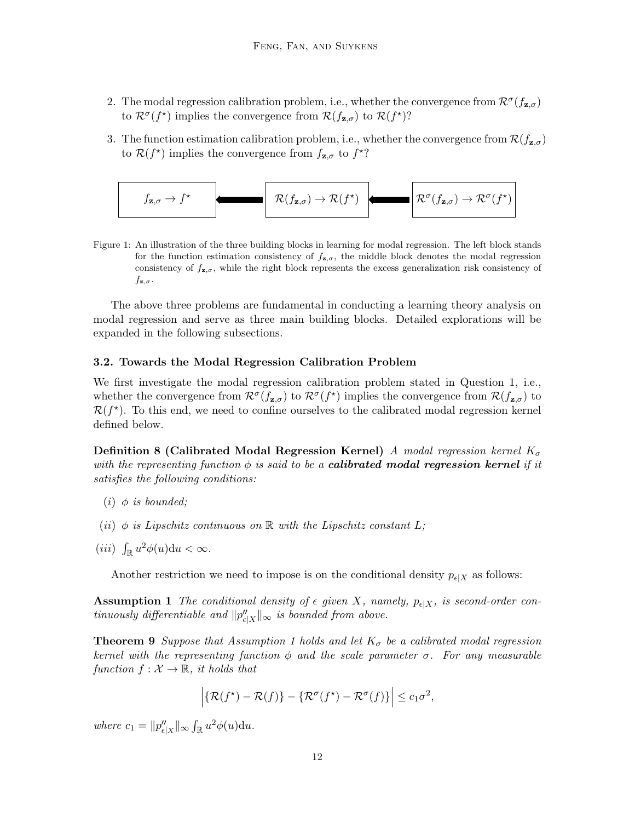- 2. The modal regression calibration problem, i.e., whether the convergence from  $\mathcal{R}^{\sigma}(f_{\mathbf{z},\sigma})$ to  $\mathcal{R}^{\sigma}(f^{\star})$  implies the convergence from  $\mathcal{R}(f_{\mathbf{z},\sigma})$  to  $\mathcal{R}(f^{\star})$ ?
- 3. The function estimation calibration problem, i.e., whether the convergence from  $\mathcal{R}(f_{\mathbf{z},\sigma})$ to  $\mathcal{R}(f^*)$  implies the convergence from  $f_{\mathbf{z},\sigma}$  to  $f^*$ ?



Figure 1: An illustration of the three building blocks in learning for modal regression. The left block stands for the function estimation consistency of  $f_{\mathbf{z},\sigma}$ , the middle block denotes the modal regression consistency of  $f_{\mathbf{z},\sigma}$ , while the right block represents the excess generalization risk consistency of  $f_{\mathbf{z},\sigma}$ .

The above three problems are fundamental in conducting a learning theory analysis on modal regression and serve as three main building blocks. Detailed explorations will be expanded in the following subsections.

#### <span id="page-11-0"></span>3.2. Towards the Modal Regression Calibration Problem

We first investigate the modal regression calibration problem stated in Question 1, i.e., whether the convergence from  $\mathcal{R}^{\sigma}(f_{\mathbf{z},\sigma})$  to  $\mathcal{R}^{\sigma}(f^{\star})$  implies the convergence from  $\mathcal{R}(f_{\mathbf{z},\sigma})$  to  $\mathcal{R}(f^{\star})$ . To this end, we need to confine ourselves to the calibrated modal regression kernel defined below.

Definition 8 (Calibrated Modal Regression Kernel) A modal regression kernel  $K_{\sigma}$ with the representing function  $\phi$  is said to be a **calibrated modal regression kernel** if it satisfies the following conditions:

- (*i*)  $\phi$  *is bounded*;
- (ii)  $\phi$  is Lipschitz continuous on  $\mathbb R$  with the Lipschitz constant L;
- (*iii*)  $\int_{\mathbb{R}} u^2 \phi(u) \mathrm{d}u < \infty$ .

Another restriction we need to impose is on the conditional density  $p_{\epsilon}|X$  as follows:

<span id="page-11-1"></span>**Assumption 1** The conditional density of  $\epsilon$  given X, namely,  $p_{\epsilon|X}$ , is second-order continuously differentiable and  $||p''_{\epsilon|X}||_{\infty}$  is bounded from above.

<span id="page-11-2"></span>**Theorem 9** Suppose that Assumption [1](#page-11-1) holds and let  $K_{\sigma}$  be a calibrated modal regression kernel with the representing function  $\phi$  and the scale parameter  $\sigma$ . For any measurable function  $f: \mathcal{X} \to \mathbb{R}$ , it holds that

$$
\left| \{ \mathcal{R}(f^*) - \mathcal{R}(f) \} - \{ \mathcal{R}^\sigma(f^*) - \mathcal{R}^\sigma(f) \} \right| \leq c_1 \sigma^2,
$$

where  $c_1 = ||p''_{\epsilon}| \otimes \int_{\mathbb{R}} u^2 \phi(u) \mathrm{d}u.$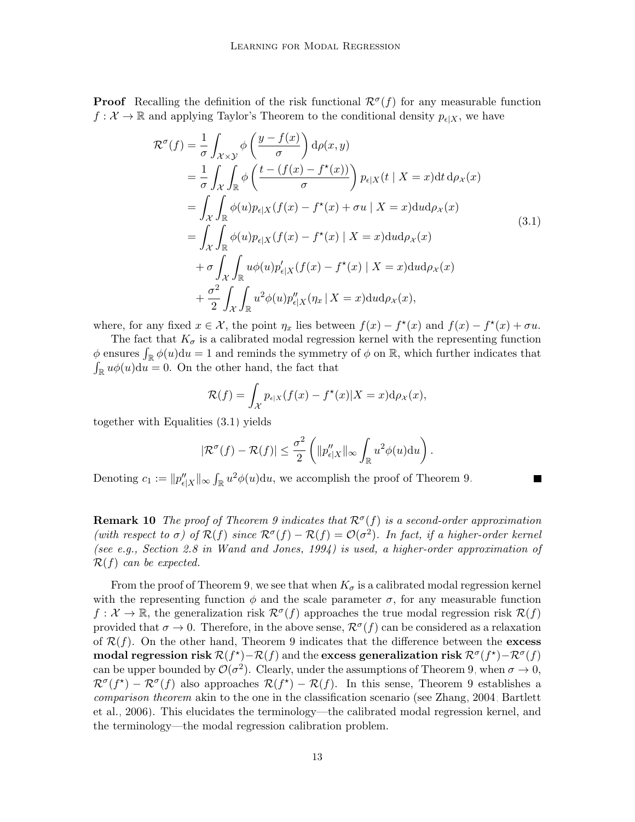**Proof** Recalling the definition of the risk functional  $\mathcal{R}^{\sigma}(f)$  for any measurable function  $f: \mathcal{X} \to \mathbb{R}$  and applying Taylor's Theorem to the conditional density  $p_{\epsilon|X}$ , we have

$$
\mathcal{R}^{\sigma}(f) = \frac{1}{\sigma} \int_{\mathcal{X} \times \mathcal{Y}} \phi \left( \frac{y - f(x)}{\sigma} \right) d\rho(x, y)
$$
  
\n
$$
= \frac{1}{\sigma} \int_{\mathcal{X}} \int_{\mathbb{R}} \phi \left( \frac{t - (f(x) - f^*(x))}{\sigma} \right) p_{\epsilon|X}(t | X = x) dt d\rho_X(x)
$$
  
\n
$$
= \int_{\mathcal{X}} \int_{\mathbb{R}} \phi(u) p_{\epsilon|X}(f(x) - f^*(x) + \sigma u | X = x) dud\rho_X(x)
$$
  
\n
$$
= \int_{\mathcal{X}} \int_{\mathbb{R}} \phi(u) p_{\epsilon|X}(f(x) - f^*(x) | X = x) dud\rho_X(x)
$$
  
\n
$$
+ \sigma \int_{\mathcal{X}} \int_{\mathbb{R}} u\phi(u) p'_{\epsilon|X}(f(x) - f^*(x) | X = x) dud\rho_X(x)
$$
  
\n
$$
+ \frac{\sigma^2}{2} \int_{\mathcal{X}} \int_{\mathbb{R}} u^2 \phi(u) p''_{\epsilon|X}(\eta_x | X = x) dud\rho_X(x),
$$
\n(3.1)

where, for any fixed  $x \in \mathcal{X}$ , the point  $\eta_x$  lies between  $f(x) - f^*(x)$  and  $f(x) - f^*(x) + \sigma u$ .

The fact that  $K_{\sigma}$  is a calibrated modal regression kernel with the representing function  $\phi$  ensures  $\int_{\mathbb{R}} \phi(u) du = 1$  and reminds the symmetry of  $\phi$  on  $\mathbb{R}$ , which further indicates that  $\int_{\mathbb{R}} u \phi(u) \mathrm{d}u = 0$ . On the other hand, the fact that

<span id="page-12-0"></span>
$$
\mathcal{R}(f) = \int_{\mathcal{X}} p_{\epsilon|X}(f(x) - f^{\star}(x)|X = x) d\rho_X(x),
$$

together with Equalities [\(3.1\)](#page-12-0) yields

$$
|\mathcal{R}^{\sigma}(f) - \mathcal{R}(f)| \leq \frac{\sigma^2}{2} \left( ||p''_{\epsilon|X}||_{\infty} \int_{\mathbb{R}} u^2 \phi(u) \mathrm{d}u \right).
$$

Denoting  $c_1 := ||p''_{\epsilon|X}||_{\infty} \int_{\mathbb{R}} u^2 \phi(u) \mathrm{d}u$ , we accomplish the proof of Theorem [9.](#page-11-2)

**Remark 10** The proof of Theorem [9](#page-11-2) indicates that  $\mathcal{R}^{\sigma}(f)$  is a second-order approximation (with respect to  $\sigma$ ) of  $\mathcal{R}(f)$  since  $\mathcal{R}^{\sigma}(f) - \mathcal{R}(f) = \mathcal{O}(\sigma^2)$ . In fact, if a higher-order kernel (see e.g., Section 2.8 in [Wand and Jones, 1994\)](#page-34-11) is used, a higher-order approximation of  $\mathcal{R}(f)$  can be expected.

From the proof of Theorem [9,](#page-11-2) we see that when  $K_{\sigma}$  is a calibrated modal regression kernel with the representing function  $\phi$  and the scale parameter  $\sigma$ , for any measurable function  $f: \mathcal{X} \to \mathbb{R}$ , the generalization risk  $\mathcal{R}^{\sigma}(f)$  approaches the true modal regression risk  $\mathcal{R}(f)$ provided that  $\sigma \to 0$ . Therefore, in the above sense,  $\mathcal{R}^{\sigma}(f)$  can be considered as a relaxation of  $\mathcal{R}(f)$ . On the other hand, Theorem [9](#page-11-2) indicates that the difference between the excess modal regression risk  $\mathcal{R}(f^{\star}) - \mathcal{R}(f)$  and the excess generalization risk  $\mathcal{R}^{\sigma}(f^{\star}) - \mathcal{R}^{\sigma}(f)$ can be upper bounded by  $\mathcal{O}(\sigma^2)$ . Clearly, under the assumptions of Theorem [9,](#page-11-2) when  $\sigma \to 0$ ,  $\mathcal{R}^{\sigma}(f^*) - \mathcal{R}^{\sigma}(f)$  also approaches  $\mathcal{R}(f^*) - \mathcal{R}(f)$ . In this sense, Theorem [9](#page-11-2) establishes a comparison theorem akin to the one in the classification scenario (see [Zhang, 2004;](#page-34-12) [Bartlett](#page-31-7) [et al., 2006\)](#page-31-7). This elucidates the terminology—the calibrated modal regression kernel, and the terminology—the modal regression calibration problem.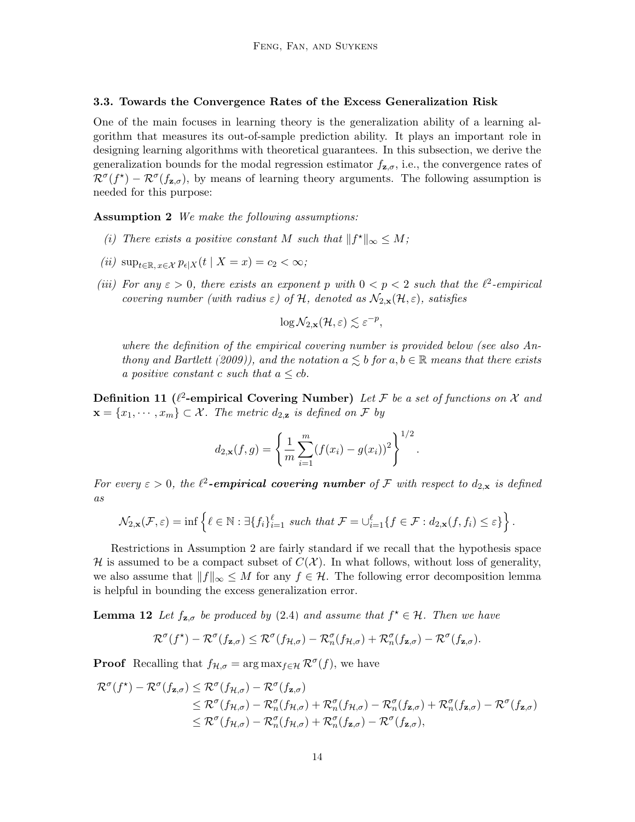#### <span id="page-13-0"></span>3.3. Towards the Convergence Rates of the Excess Generalization Risk

One of the main focuses in learning theory is the generalization ability of a learning algorithm that measures its out-of-sample prediction ability. It plays an important role in designing learning algorithms with theoretical guarantees. In this subsection, we derive the generalization bounds for the modal regression estimator  $f_{\mathbf{z},\sigma}$ , i.e., the convergence rates of  $\mathcal{R}^{\sigma}(f^*) - \mathcal{R}^{\sigma}(f_{\mathbf{z},\sigma})$ , by means of learning theory arguments. The following assumption is needed for this purpose:

<span id="page-13-1"></span>Assumption 2 We make the following assumptions:

- (i) There exists a positive constant M such that  $||f^*||_{\infty} \leq M$ ;
- (ii)  $\sup_{t\in\mathbb{R}, x\in\mathcal{X}} p_{\epsilon|X}(t \mid X=x) = c_2 < \infty;$
- (iii) For any  $\varepsilon > 0$ , there exists an exponent p with  $0 < p < 2$  such that the  $\ell^2$ -empirical covering number (with radius  $\varepsilon$ ) of H, denoted as  $\mathcal{N}_{2,\mathbf{x}}(\mathcal{H},\varepsilon)$ , satisfies

$$
\log \mathcal{N}_{2, \mathbf{x}}(\mathcal{H}, \varepsilon) \lesssim \varepsilon^{-p}
$$

,

where the definition of the empirical covering number is provided below (see also [An](#page-31-8)[thony and Bartlett](#page-31-8) [\(2009\)](#page-31-8)), and the notation  $a \leq b$  for  $a, b \in \mathbb{R}$  means that there exists a positive constant c such that  $a \leq cb$ .

Definition 11 ( $\ell^2$ -empirical Covering Number) Let F be a set of functions on X and  $\mathbf{x} = \{x_1, \dots, x_m\} \subset \mathcal{X}$ . The metric  $d_{2,\mathbf{z}}$  is defined on F by

$$
d_{2,\mathbf{x}}(f,g) = \left\{ \frac{1}{m} \sum_{i=1}^{m} (f(x_i) - g(x_i))^2 \right\}^{1/2}.
$$

For every  $\varepsilon > 0$ , the  $\ell^2$ -empirical covering number of F with respect to  $d_{2,x}$  is defined as

$$
\mathcal{N}_{2,\mathbf{x}}(\mathcal{F},\varepsilon) = \inf \left\{ \ell \in \mathbb{N} : \exists \{f_i\}_{i=1}^{\ell} \text{ such that } \mathcal{F} = \bigcup_{i=1}^{\ell} \{ f \in \mathcal{F} : d_{2,\mathbf{x}}(f,f_i) \leq \varepsilon \} \right\}.
$$

Restrictions in Assumption [2](#page-13-1) are fairly standard if we recall that the hypothesis space H is assumed to be a compact subset of  $C(\mathcal{X})$ . In what follows, without loss of generality, we also assume that  $||f||_{\infty} \leq M$  for any  $f \in \mathcal{H}$ . The following error decomposition lemma is helpful in bounding the excess generalization error.

<span id="page-13-2"></span>**Lemma 12** Let  $f_{\mathbf{z},\sigma}$  be produced by [\(2.4\)](#page-9-0) and assume that  $f^* \in \mathcal{H}$ . Then we have

$$
\mathcal{R}^{\sigma}(f^{\star})-\mathcal{R}^{\sigma}(f_{\mathbf{z},\sigma})\leq \mathcal{R}^{\sigma}(f_{\mathcal{H},\sigma})-\mathcal{R}_n^{\sigma}(f_{\mathcal{H},\sigma})+\mathcal{R}_n^{\sigma}(f_{\mathbf{z},\sigma})-\mathcal{R}^{\sigma}(f_{\mathbf{z},\sigma}).
$$

**Proof** Recalling that  $f_{\mathcal{H},\sigma} = \arg \max_{f \in \mathcal{H}} \mathcal{R}^{\sigma}(f)$ , we have

$$
\mathcal{R}^{\sigma}(f^*) - \mathcal{R}^{\sigma}(f_{\mathbf{z},\sigma}) \leq \mathcal{R}^{\sigma}(f_{\mathcal{H},\sigma}) - \mathcal{R}^{\sigma}(f_{\mathbf{z},\sigma})
$$
  
\n
$$
\leq \mathcal{R}^{\sigma}(f_{\mathcal{H},\sigma}) - \mathcal{R}^{\sigma}_{n}(f_{\mathcal{H},\sigma}) + \mathcal{R}^{\sigma}_{n}(f_{\mathcal{H},\sigma}) - \mathcal{R}^{\sigma}_{n}(f_{\mathbf{z},\sigma}) + \mathcal{R}^{\sigma}_{n}(f_{\mathbf{z},\sigma}) - \mathcal{R}^{\sigma}(f_{\mathbf{z},\sigma})
$$
  
\n
$$
\leq \mathcal{R}^{\sigma}(f_{\mathcal{H},\sigma}) - \mathcal{R}^{\sigma}_{n}(f_{\mathcal{H},\sigma}) + \mathcal{R}^{\sigma}_{n}(f_{\mathbf{z},\sigma}) - \mathcal{R}^{\sigma}(f_{\mathbf{z},\sigma}),
$$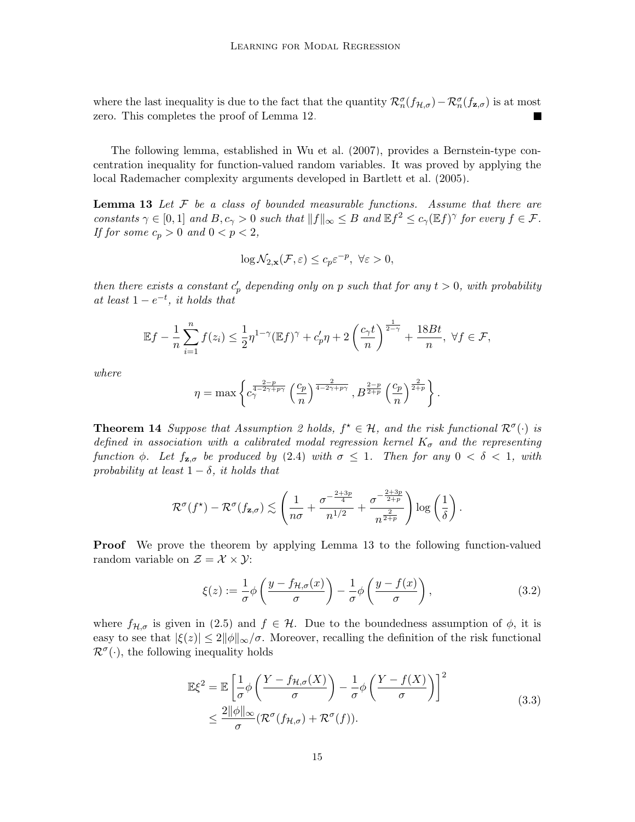where the last inequality is due to the fact that the quantity  $\mathcal{R}_n^{\sigma}(f_{\mathcal{H},\sigma}) - \mathcal{R}_n^{\sigma}(f_{\mathbf{z},\sigma})$  is at most zero. This completes the proof of Lemma [12.](#page-13-2)

The following lemma, established in [Wu et al. \(2007\)](#page-34-13), provides a Bernstein-type concentration inequality for function-valued random variables. It was proved by applying the local Rademacher complexity arguments developed in [Bartlett et al. \(2005\)](#page-31-9).

**Lemma 13** Let  $\mathcal F$  be a class of bounded measurable functions. Assume that there are constants  $\gamma \in [0,1]$  and  $B, c_{\gamma} > 0$  such that  $||f||_{\infty} \leq B$  and  $\mathbb{E} f^2 \leq c_{\gamma}(\mathbb{E} f)^{\gamma}$  for every  $f \in \mathcal{F}$ . If for some  $c_p > 0$  and  $0 < p < 2$ ,

<span id="page-14-0"></span>
$$
\log \mathcal{N}_{2,\mathbf{x}}(\mathcal{F}, \varepsilon) \le c_p \varepsilon^{-p}, \ \forall \varepsilon > 0,
$$

then there exists a constant  $c'_p$  depending only on p such that for any  $t > 0$ , with probability at least  $1-e^{-t}$ , it holds that

$$
\mathbb{E}f - \frac{1}{n}\sum_{i=1}^n f(z_i) \le \frac{1}{2}\eta^{1-\gamma}(\mathbb{E}f)^{\gamma} + c_p'\eta + 2\left(\frac{c_\gamma t}{n}\right)^{\frac{1}{2-\gamma}} + \frac{18Bt}{n}, \ \forall f \in \mathcal{F},
$$

where

$$
\eta = \max \left\{ c_{\gamma}^{\frac{2-p}{4-2\gamma+p\gamma}} \left( \frac{c_p}{n} \right)^{\frac{2}{4-2\gamma+p\gamma}}, B^{\frac{2-p}{2+p}} \left( \frac{c_p}{n} \right)^{\frac{2}{2+p}} \right\}.
$$

<span id="page-14-1"></span>**Theorem 14** Suppose that Assumption [2](#page-13-1) holds,  $f^* \in \mathcal{H}$ , and the risk functional  $\mathcal{R}^{\sigma}(\cdot)$  is defined in association with a calibrated modal regression kernel  $K_{\sigma}$  and the representing function  $\phi$ . Let  $f_{\mathbf{z},\sigma}$  be produced by [\(2.4\)](#page-9-0) with  $\sigma \leq 1$ . Then for any  $0 < \delta < 1$ , with probability at least  $1 - \delta$ , it holds that

$$
\mathcal{R}^{\sigma}(f^{\star}) - \mathcal{R}^{\sigma}(f_{\mathbf{z},\sigma}) \lesssim \left(\frac{1}{n\sigma} + \frac{\sigma^{-\frac{2+3p}{4}}}{n^{1/2}} + \frac{\sigma^{-\frac{2+3p}{2+p}}}{n^{\frac{2}{2+p}}}\right) \log\left(\frac{1}{\delta}\right).
$$

**Proof** We prove the theorem by applying Lemma [13](#page-14-0) to the following function-valued random variable on  $\mathcal{Z} = \mathcal{X} \times \mathcal{Y}$ :

<span id="page-14-2"></span>
$$
\xi(z) := \frac{1}{\sigma} \phi \left( \frac{y - f_{\mathcal{H}, \sigma}(x)}{\sigma} \right) - \frac{1}{\sigma} \phi \left( \frac{y - f(x)}{\sigma} \right),\tag{3.2}
$$

where  $f_{\mathcal{H},\sigma}$  is given in [\(2.5\)](#page-9-1) and  $f \in \mathcal{H}$ . Due to the boundedness assumption of  $\phi$ , it is easy to see that  $|\xi(z)| \leq 2\|\phi\|_{\infty}/\sigma$ . Moreover, recalling the definition of the risk functional  $\mathcal{R}^{\sigma}(\cdot)$ , the following inequality holds

$$
\mathbb{E}\xi^{2} = \mathbb{E}\left[\frac{1}{\sigma}\phi\left(\frac{Y - f_{\mathcal{H},\sigma}(X)}{\sigma}\right) - \frac{1}{\sigma}\phi\left(\frac{Y - f(X)}{\sigma}\right)\right]^{2}
$$
\n
$$
\leq \frac{2\|\phi\|_{\infty}}{\sigma}(\mathcal{R}^{\sigma}(f_{\mathcal{H},\sigma}) + \mathcal{R}^{\sigma}(f)).
$$
\n(3.3)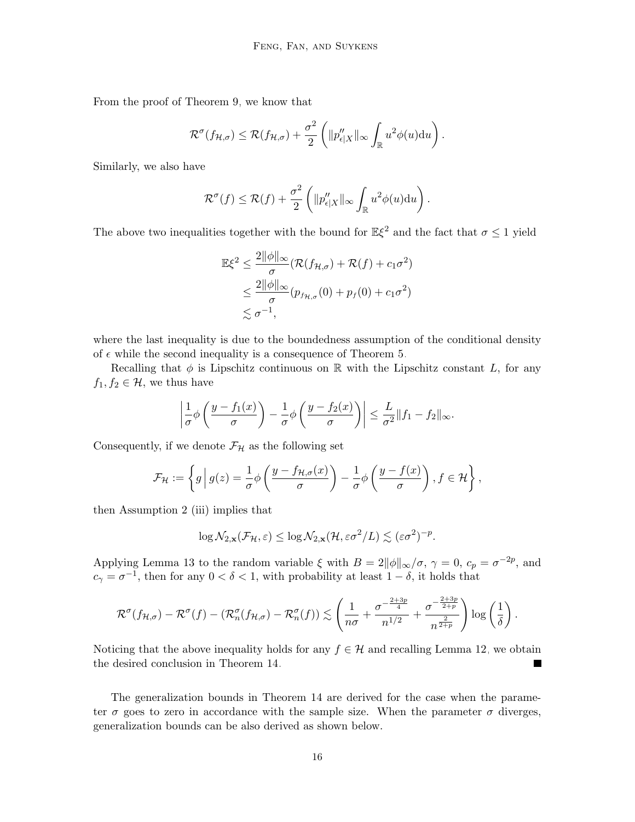From the proof of Theorem [9,](#page-11-2) we know that

$$
\mathcal{R}^{\sigma}(f_{\mathcal{H},\sigma}) \leq \mathcal{R}(f_{\mathcal{H},\sigma}) + \frac{\sigma^2}{2} \left( \| p''_{\epsilon|X} \|_{\infty} \int_{\mathbb{R}} u^2 \phi(u) \mathrm{d}u \right).
$$

Similarly, we also have

$$
\mathcal{R}^{\sigma}(f) \leq \mathcal{R}(f) + \frac{\sigma^2}{2} \left( \| p''_{\epsilon|X} \|_{\infty} \int_{\mathbb{R}} u^2 \phi(u) \mathrm{d}u \right).
$$

The above two inequalities together with the bound for  $\mathbb{E}\xi^2$  and the fact that  $\sigma \leq 1$  yield

$$
\mathbb{E}\xi^2 \le \frac{2\|\phi\|_{\infty}}{\sigma} (\mathcal{R}(f_{\mathcal{H},\sigma}) + \mathcal{R}(f) + c_1\sigma^2)
$$
  
 
$$
\le \frac{2\|\phi\|_{\infty}}{\sigma} (p_{f_{\mathcal{H},\sigma}}(0) + p_f(0) + c_1\sigma^2)
$$
  
 
$$
\lesssim \sigma^{-1},
$$

where the last inequality is due to the boundedness assumption of the conditional density of  $\epsilon$  while the second inequality is a consequence of Theorem [5.](#page-8-1)

Recalling that  $\phi$  is Lipschitz continuous on R with the Lipschitz constant L, for any  $f_1, f_2 \in \mathcal{H}$ , we thus have

$$
\left|\frac{1}{\sigma}\phi\left(\frac{y-f_1(x)}{\sigma}\right)-\frac{1}{\sigma}\phi\left(\frac{y-f_2(x)}{\sigma}\right)\right|\leq \frac{L}{\sigma^2}\|f_1-f_2\|_{\infty}.
$$

Consequently, if we denote  $\mathcal{F}_{\mathcal{H}}$  as the following set

$$
\mathcal{F}_{\mathcal{H}} := \left\{ g \, \Big| \, g(z) = \frac{1}{\sigma} \phi \left( \frac{y - f_{\mathcal{H}, \sigma}(x)}{\sigma} \right) - \frac{1}{\sigma} \phi \left( \frac{y - f(x)}{\sigma} \right), f \in \mathcal{H} \right\},\
$$

then Assumption [2](#page-13-1) (iii) implies that

<span id="page-15-0"></span>
$$
\log \mathcal{N}_{2,\mathbf{x}}(\mathcal{F}_{\mathcal{H}},\varepsilon) \leq \log \mathcal{N}_{2,\mathbf{x}}(\mathcal{H},\varepsilon \sigma^2/L) \lesssim (\varepsilon \sigma^2)^{-p}.
$$

Applying Lemma [13](#page-14-0) to the random variable  $\xi$  with  $B = 2||\phi||_{\infty}/\sigma$ ,  $\gamma = 0$ ,  $c_p = \sigma^{-2p}$ , and  $c_{\gamma} = \sigma^{-1}$ , then for any  $0 < \delta < 1$ , with probability at least  $1 - \delta$ , it holds that

$$
\mathcal{R}^{\sigma}(f_{\mathcal{H},\sigma})-\mathcal{R}^{\sigma}(f)-(\mathcal{R}_n^{\sigma}(f_{\mathcal{H},\sigma})-\mathcal{R}_n^{\sigma}(f))\lesssim \left(\frac{1}{n\sigma}+\frac{\sigma^{-\frac{2+3p}{4}}}{n^{1/2}}+\frac{\sigma^{-\frac{2+3p}{2+p}}}{n^{\frac{2}{2+p}}}\right)\log\left(\frac{1}{\delta}\right).
$$

Noticing that the above inequality holds for any  $f \in \mathcal{H}$  and recalling Lemma [12,](#page-13-2) we obtain the desired conclusion in Theorem [14.](#page-14-1)

The generalization bounds in Theorem [14](#page-14-1) are derived for the case when the parameter  $\sigma$  goes to zero in accordance with the sample size. When the parameter  $\sigma$  diverges, generalization bounds can be also derived as shown below.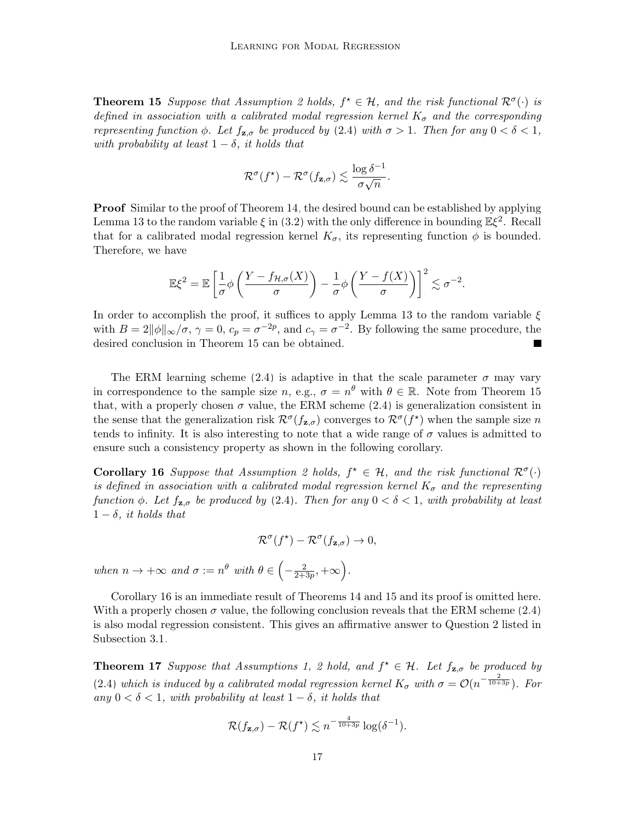**Theorem 15** Suppose that Assumption [2](#page-13-1) holds,  $f^* \in \mathcal{H}$ , and the risk functional  $\mathcal{R}^{\sigma}(\cdot)$  is defined in association with a calibrated modal regression kernel  $K_{\sigma}$  and the corresponding representing function  $\phi$ . Let  $f_{\mathbf{z},\sigma}$  be produced by [\(2.4\)](#page-9-0) with  $\sigma > 1$ . Then for any  $0 < \delta < 1$ , with probability at least  $1 - \delta$ , it holds that

$$
\mathcal{R}^{\sigma}(f^{\star}) - \mathcal{R}^{\sigma}(f_{\mathbf{z},\sigma}) \lesssim \frac{\log \delta^{-1}}{\sigma \sqrt{n}}.
$$

**Proof** Similar to the proof of Theorem [14,](#page-14-1) the desired bound can be established by applying Lemma [13](#page-14-0) to the random variable  $\xi$  in [\(3.2\)](#page-14-2) with the only difference in bounding  $\mathbb{E}\xi^2$ . Recall that for a calibrated modal regression kernel  $K_{\sigma}$ , its representing function  $\phi$  is bounded. Therefore, we have

$$
\mathbb{E}\xi^2=\mathbb{E}\left[\frac{1}{\sigma}\phi\left(\frac{Y-f_{\mathcal{H},\sigma}(X)}{\sigma}\right)-\frac{1}{\sigma}\phi\left(\frac{Y-f(X)}{\sigma}\right)\right]^2\lesssim \sigma^{-2}.
$$

In order to accomplish the proof, it suffices to apply Lemma [13](#page-14-0) to the random variable  $\xi$ with  $B = 2||\phi||_{\infty}/\sigma$ ,  $\gamma = 0$ ,  $c_p = \sigma^{-2p}$ , and  $c_\gamma = \sigma^{-2}$ . By following the same procedure, the desired conclusion in Theorem [15](#page-15-0) can be obtained.

The ERM learning scheme [\(2.4\)](#page-9-0) is adaptive in that the scale parameter  $\sigma$  may vary in correspondence to the sample size n, e.g.,  $\sigma = n^{\theta}$  with  $\theta \in \mathbb{R}$ . Note from Theorem [15](#page-15-0) that, with a properly chosen  $\sigma$  value, the ERM scheme [\(2.4\)](#page-9-0) is generalization consistent in the sense that the generalization risk  $\mathcal{R}^{\sigma}(f_{\mathbf{z},\sigma})$  converges to  $\mathcal{R}^{\sigma}(f^*)$  when the sample size n tends to infinity. It is also interesting to note that a wide range of  $\sigma$  values is admitted to ensure such a consistency property as shown in the following corollary.

Corollary 16 Suppose that Assumption [2](#page-13-1) holds,  $f^* \in \mathcal{H}$ , and the risk functional  $\mathcal{R}^{\sigma}(\cdot)$ is defined in association with a calibrated modal regression kernel  $K_{\sigma}$  and the representing function  $\phi$ . Let  $f_{z,\sigma}$  be produced by [\(2.4\)](#page-9-0). Then for any  $0 < \delta < 1$ , with probability at least  $1 - \delta$ , it holds that

<span id="page-16-0"></span>
$$
\mathcal{R}^{\sigma}(f^{\star}) - \mathcal{R}^{\sigma}(f_{\mathbf{z},\sigma}) \to 0,
$$

when  $n \to +\infty$  and  $\sigma := n^{\theta}$  with  $\theta \in \left(-\frac{2}{2\pi^2}\right)$  $\frac{2}{2+3p},+\infty$ .

Corollary [16](#page-16-0) is an immediate result of Theorems [14](#page-14-1) and [15](#page-15-0) and its proof is omitted here. With a properly chosen  $\sigma$  value, the following conclusion reveals that the ERM scheme [\(2.4\)](#page-9-0) is also modal regression consistent. This gives an affirmative answer to Question 2 listed in Subsection [3.1.](#page-10-4)

<span id="page-16-1"></span>**Theorem 17** Suppose that Assumptions [1,](#page-11-1) [2](#page-13-1) hold, and  $f^* \in \mathcal{H}$ . Let  $f_{\mathbf{z},\sigma}$  be produced by [\(2.4\)](#page-9-0) which is induced by a calibrated modal regression kernel  $K_{\sigma}$  with  $\sigma = \mathcal{O}(n^{-\frac{2}{10+3p}})$ . For any  $0 < \delta < 1$ , with probability at least  $1 - \delta$ , it holds that

$$
\mathcal{R}(f_{\mathbf{z}, \sigma}) - \mathcal{R}(f^\star) \lesssim n^{-\frac{4}{10+3p}}\log(\delta^{-1}).
$$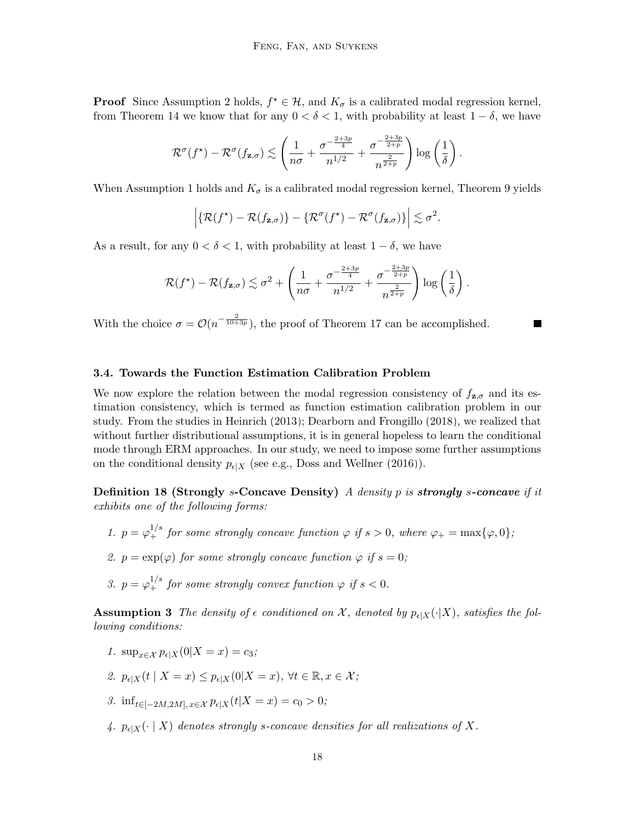**Proof** Since Assumption [2](#page-13-1) holds,  $f^* \in \mathcal{H}$ , and  $K_{\sigma}$  is a calibrated modal regression kernel, from Theorem [14](#page-14-1) we know that for any  $0 < \delta < 1$ , with probability at least  $1 - \delta$ , we have

$$
\mathcal{R}^{\sigma}(f^{\star}) - \mathcal{R}^{\sigma}(f_{\mathbf{z},\sigma}) \lesssim \left(\frac{1}{n\sigma} + \frac{\sigma^{-\frac{2+3p}{4}}}{n^{1/2}} + \frac{\sigma^{-\frac{2+3p}{2+p}}}{n^{\frac{2}{2+p}}}\right) \log\left(\frac{1}{\delta}\right).
$$

When Assumption [1](#page-11-1) holds and  $K_{\sigma}$  is a calibrated modal regression kernel, Theorem [9](#page-11-2) yields

$$
\left| \{ \mathcal{R}(f^*) - \mathcal{R}(f_{\mathbf{z},\sigma}) \} - \{ \mathcal{R}^{\sigma}(f^*) - \mathcal{R}^{\sigma}(f_{\mathbf{z},\sigma}) \} \right| \lesssim \sigma^2.
$$

As a result, for any  $0 < \delta < 1$ , with probability at least  $1 - \delta$ , we have

$$
\mathcal{R}(f^{\star}) - \mathcal{R}(f_{\mathbf{z},\sigma}) \lesssim \sigma^2 + \left(\frac{1}{n\sigma} + \frac{\sigma^{-\frac{2+3p}{4}}}{n^{1/2}} + \frac{\sigma^{-\frac{2+3p}{2+p}}}{n^{\frac{2}{2+p}}}\right) \log\left(\frac{1}{\delta}\right).
$$

With the choice  $\sigma = \mathcal{O}(n^{-\frac{2}{10+3p}})$ , the proof of Theorem [17](#page-16-1) can be accomplished.

#### <span id="page-17-0"></span>3.4. Towards the Function Estimation Calibration Problem

We now explore the relation between the modal regression consistency of  $f_{z,\sigma}$  and its estimation consistency, which is termed as function estimation calibration problem in our study. From the studies in [Heinrich \(2013\)](#page-32-9); [Dearborn and Frongillo \(2018\)](#page-31-10), we realized that without further distributional assumptions, it is in general hopeless to learn the conditional mode through ERM approaches. In our study, we need to impose some further assumptions on the conditional density  $p_{\epsilon|X}$  (see e.g., [Doss and Wellner \(2016\)](#page-31-11)).

<span id="page-17-2"></span>**Definition 18 (Strongly s-Concave Density)** A density p is **strongly** s-concave if it exhibits one of the following forms:

- 1.  $p = \varphi_+^{1/s}$  for some strongly concave function  $\varphi$  if  $s > 0$ , where  $\varphi_+ = \max{\varphi, 0}$ ;
- 2.  $p = \exp(\varphi)$  for some strongly concave function  $\varphi$  if  $s = 0$ ;
- 3.  $p = \varphi_+^{1/s}$  for some strongly convex function  $\varphi$  if  $s < 0$ .

<span id="page-17-1"></span>**Assumption 3** The density of  $\epsilon$  conditioned on  $\mathcal{X}$ , denoted by  $p_{\epsilon|X}(\cdot|X)$ , satisfies the following conditions:

- 1.  $\sup_{x \in \mathcal{X}} p_{\epsilon|X}(0|X = x) = c_3;$
- 2.  $p_{\epsilon|X}(t | X = x) \leq p_{\epsilon|X}(0|X = x), \forall t \in \mathbb{R}, x \in \mathcal{X};$
- 3. inf<sub>t∈[-2M,2M], x∈X</sub>  $p_{\epsilon|X}(t|X = x) = c_0 > 0;$
- 4.  $p_{\epsilon|X}(\cdot | X)$  denotes strongly s-concave densities for all realizations of X.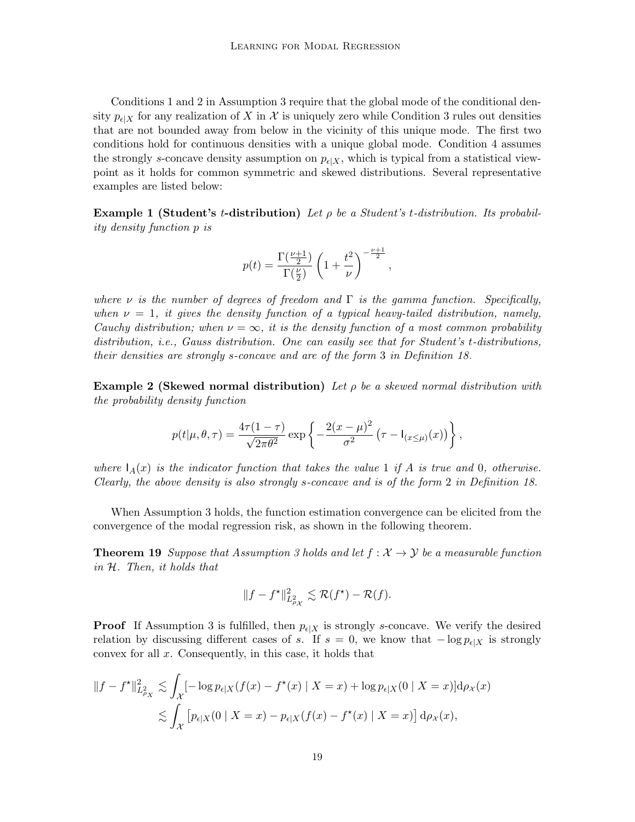Conditions 1 and 2 in Assumption [3](#page-17-1) require that the global mode of the conditional density  $p_{\epsilon}|X$  for any realization of X in X is uniquely zero while Condition 3 rules out densities that are not bounded away from below in the vicinity of this unique mode. The first two conditions hold for continuous densities with a unique global mode. Condition 4 assumes the strongly s-concave density assumption on  $p_{\epsilon|X}$ , which is typical from a statistical viewpoint as it holds for common symmetric and skewed distributions. Several representative examples are listed below:

**Example 1 (Student's t-distribution)** Let  $\rho$  be a Student's t-distribution. Its probability density function p is

$$
p(t) = \frac{\Gamma(\frac{\nu+1}{2})}{\Gamma(\frac{\nu}{2})} \left(1 + \frac{t^2}{\nu}\right)^{-\frac{\nu+1}{2}},
$$

where  $\nu$  is the number of degrees of freedom and  $\Gamma$  is the gamma function. Specifically, when  $\nu = 1$ , it gives the density function of a typical heavy-tailed distribution, namely, Cauchy distribution; when  $\nu = \infty$ , it is the density function of a most common probability distribution, i.e., Gauss distribution. One can easily see that for Student's t-distributions, their densities are strongly s-concave and are of the form 3 in Definition [18.](#page-17-2)

**Example 2 (Skewed normal distribution)** Let  $\rho$  be a skewed normal distribution with the probability density function

$$
p(t|\mu,\theta,\tau) = \frac{4\tau(1-\tau)}{\sqrt{2\pi\theta^2}} \exp\left\{-\frac{2(x-\mu)^2}{\sigma^2} \left(\tau - I_{(x \leq \mu)}(x)\right)\right\},\,
$$

where  $I_A(x)$  is the indicator function that takes the value 1 if A is true and 0, otherwise. Clearly, the above density is also strongly s-concave and is of the form 2 in Definition [18.](#page-17-2)

When Assumption [3](#page-17-1) holds, the function estimation convergence can be elicited from the convergence of the modal regression risk, as shown in the following theorem.

**Theorem 19** Suppose that Assumption [3](#page-17-1) holds and let  $f : \mathcal{X} \to \mathcal{Y}$  be a measurable function in H. Then, it holds that

<span id="page-18-0"></span>
$$
||f - f^{\star}||_{L^2_{\rho_X}}^2 \lesssim \mathcal{R}(f^{\star}) - \mathcal{R}(f).
$$

**Proof** If Assumption [3](#page-17-1) is fulfilled, then  $p_{\epsilon|X}$  is strongly s-concave. We verify the desired relation by discussing different cases of s. If  $s = 0$ , we know that  $-\log p_{\epsilon|X}$  is strongly convex for all  $x$ . Consequently, in this case, it holds that

$$
||f - f^*||_{L_{\rho_X}^2}^2 \lesssim \int_{\mathcal{X}} [-\log p_{\epsilon|X}(f(x) - f^*(x) \mid X = x) + \log p_{\epsilon|X}(0 \mid X = x)] d\rho_{\mathcal{X}}(x)
$$
  

$$
\lesssim \int_{\mathcal{X}} \left[ p_{\epsilon|X}(0 \mid X = x) - p_{\epsilon|X}(f(x) - f^*(x) \mid X = x) \right] d\rho_{\mathcal{X}}(x),
$$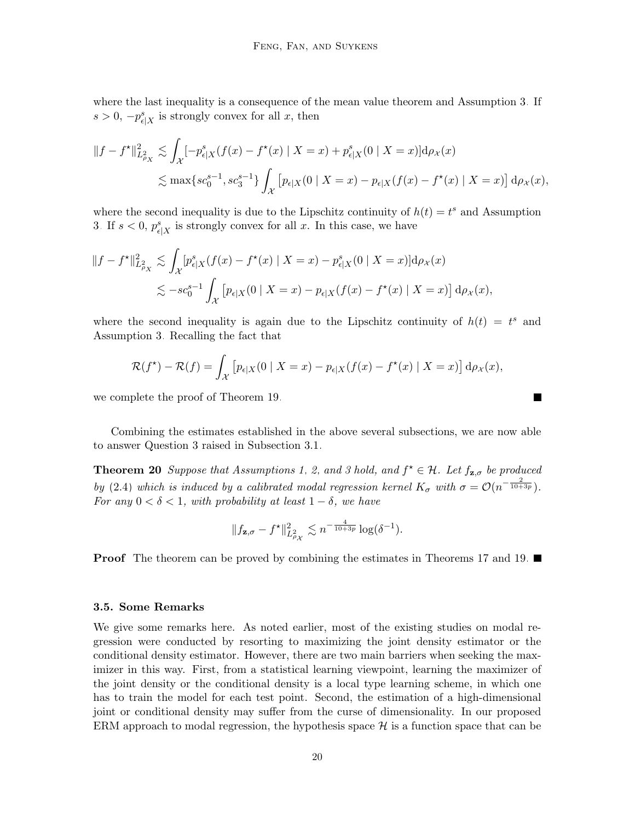where the last inequality is a consequence of the mean value theorem and Assumption [3.](#page-17-1) If  $s > 0, -p_{\epsilon|X}^s$  is strongly convex for all x, then

$$
||f - f^{\star}||_{L_{\rho_X}^2}^2 \lesssim \int_{\mathcal{X}} \left[ -p_{\epsilon|X}^s (f(x) - f^{\star}(x) \mid X = x) + p_{\epsilon|X}^s (0 \mid X = x) \right] d\rho_{\mathcal{X}}(x)
$$
  

$$
\lesssim \max \{ sc_0^{s-1}, sc_3^{s-1} \} \int_{\mathcal{X}} \left[ p_{\epsilon|X}(0 \mid X = x) - p_{\epsilon|X}(f(x) - f^{\star}(x) \mid X = x) \right] d\rho_{\mathcal{X}}(x),
$$

where the second inequality is due to the Lipschitz continuity of  $h(t) = t^s$  and Assumption [3.](#page-17-1) If  $s < 0$ ,  $p_{\epsilon|X}^s$  is strongly convex for all x. In this case, we have

$$
||f - f^{\star}||_{L_{\rho_X}^2}^2 \lesssim \int_{\mathcal{X}} |p_{\epsilon|X}^s(f(x) - f^{\star}(x) | X = x) - p_{\epsilon|X}^s(0 | X = x)] d\rho_{\mathcal{X}}(x)
$$
  

$$
\lesssim -sc_0^{s-1} \int_{\mathcal{X}} \left[ p_{\epsilon|X}(0 | X = x) - p_{\epsilon|X}(f(x) - f^{\star}(x) | X = x) \right] d\rho_{\mathcal{X}}(x),
$$

where the second inequality is again due to the Lipschitz continuity of  $h(t) = t^s$  and Assumption [3.](#page-17-1) Recalling the fact that

$$
\mathcal{R}(f^*) - \mathcal{R}(f) = \int_{\mathcal{X}} \left[ p_{\epsilon|X}(0 \mid X = x) - p_{\epsilon|X}(f(x) - f^*(x) \mid X = x) \right] d\rho_{\mathcal{X}}(x),
$$

we complete the proof of Theorem [19.](#page-18-0)

Combining the estimates established in the above several subsections, we are now able to answer Question 3 raised in Subsection [3.1.](#page-10-4)

**Theorem 20** Suppose that Assumptions [1,](#page-11-1) [2,](#page-13-1) and [3](#page-17-1) hold, and  $f^* \in \mathcal{H}$ . Let  $f_{\mathbf{z},\sigma}$  be produced by [\(2.4\)](#page-9-0) which is induced by a calibrated modal regression kernel  $K_{\sigma}$  with  $\sigma = \mathcal{O}(n^{-\frac{2}{10+3p}})$ . For any  $0 < \delta < 1$ , with probability at least  $1 - \delta$ , we have

<span id="page-19-1"></span>
$$
||f_{\mathbf{z},\sigma} - f^{\star}||_{L_{\rho_{\mathcal{X}}}^{2}}^{2} \lesssim n^{-\frac{4}{10+3p}} \log(\delta^{-1}).
$$

**Proof** The theorem can be proved by combining the estimates in Theorems [17](#page-16-1) and [19.](#page-18-0)

#### <span id="page-19-0"></span>3.5. Some Remarks

We give some remarks here. As noted earlier, most of the existing studies on modal regression were conducted by resorting to maximizing the joint density estimator or the conditional density estimator. However, there are two main barriers when seeking the maximizer in this way. First, from a statistical learning viewpoint, learning the maximizer of the joint density or the conditional density is a local type learning scheme, in which one has to train the model for each test point. Second, the estimation of a high-dimensional joint or conditional density may suffer from the curse of dimensionality. In our proposed ERM approach to modal regression, the hypothesis space  $\mathcal H$  is a function space that can be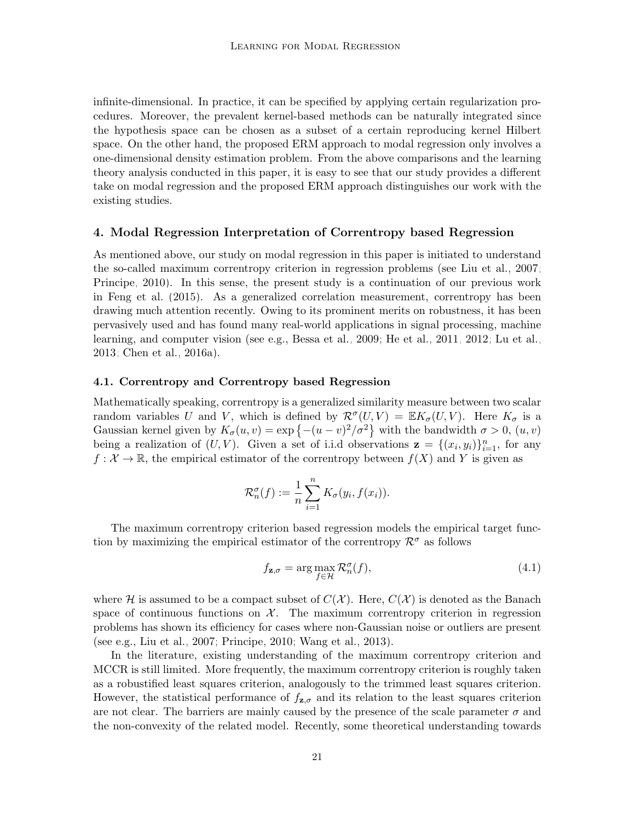infinite-dimensional. In practice, it can be specified by applying certain regularization procedures. Moreover, the prevalent kernel-based methods can be naturally integrated since the hypothesis space can be chosen as a subset of a certain reproducing kernel Hilbert space. On the other hand, the proposed ERM approach to modal regression only involves a one-dimensional density estimation problem. From the above comparisons and the learning theory analysis conducted in this paper, it is easy to see that our study provides a different take on modal regression and the proposed ERM approach distinguishes our work with the existing studies.

### <span id="page-20-0"></span>4. Modal Regression Interpretation of Correntropy based Regression

As mentioned above, our study on modal regression in this paper is initiated to understand the so-called maximum correntropy criterion in regression problems (see [Liu et al., 2007;](#page-33-11) [Principe, 2010\)](#page-33-12). In this sense, the present study is a continuation of our previous work in [Feng et al. \(2015\)](#page-32-7). As a generalized correlation measurement, correntropy has been drawing much attention recently. Owing to its prominent merits on robustness, it has been pervasively used and has found many real-world applications in signal processing, machine learning, and computer vision (see e.g., [Bessa et al., 2009;](#page-31-12) [He et al., 2011,](#page-32-10) [2012;](#page-32-11) [Lu et al.,](#page-33-13) [2013;](#page-33-13) [Chen et al., 2016a\)](#page-31-13).

#### 4.1. Correntropy and Correntropy based Regression

Mathematically speaking, correntropy is a generalized similarity measure between two scalar random variables U and V, which is defined by  $\mathcal{R}^{\sigma}(U,V) = \mathbb{E}K_{\sigma}(U,V)$ . Here  $K_{\sigma}$  is a Gaussian kernel given by  $K_{\sigma}(u, v) = \exp \{- (u - v)^2 / \sigma^2 \}$  with the bandwidth  $\sigma > 0$ ,  $(u, v)$ being a realization of  $(U, V)$ . Given a set of i.i.d observations  $\mathbf{z} = \{(x_i, y_i)\}_{i=1}^n$ , for any  $f: \mathcal{X} \to \mathbb{R}$ , the empirical estimator of the correntropy between  $f(X)$  and Y is given as

$$
\mathcal{R}_n^{\sigma}(f) := \frac{1}{n} \sum_{i=1}^n K_{\sigma}(y_i, f(x_i)).
$$

The maximum correntropy criterion based regression models the empirical target function by maximizing the empirical estimator of the correntropy  $\mathcal{R}^{\sigma}$  as follows

<span id="page-20-1"></span>
$$
f_{\mathbf{z},\sigma} = \arg\max_{f \in \mathcal{H}} \mathcal{R}_n^{\sigma}(f),\tag{4.1}
$$

where H is assumed to be a compact subset of  $C(\mathcal{X})$ . Here,  $C(\mathcal{X})$  is denoted as the Banach space of continuous functions on  $X$ . The maximum correntropy criterion in regression problems has shown its efficiency for cases where non-Gaussian noise or outliers are present (see e.g., [Liu et al., 2007;](#page-33-11) [Principe, 2010;](#page-33-12) [Wang et al., 2013\)](#page-34-14).

In the literature, existing understanding of the maximum correntropy criterion and MCCR is still limited. More frequently, the maximum correntropy criterion is roughly taken as a robustified least squares criterion, analogously to the trimmed least squares criterion. However, the statistical performance of  $f_{z,\sigma}$  and its relation to the least squares criterion are not clear. The barriers are mainly caused by the presence of the scale parameter  $\sigma$  and the non-convexity of the related model. Recently, some theoretical understanding towards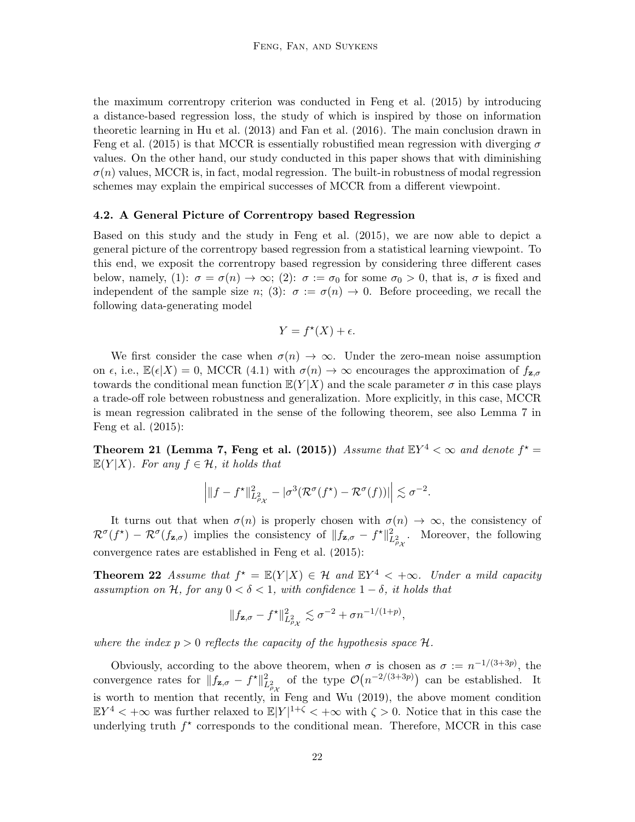the maximum correntropy criterion was conducted in [Feng et al. \(2015\)](#page-32-7) by introducing a distance-based regression loss, the study of which is inspired by those on information theoretic learning in [Hu et al. \(2013\)](#page-32-12) and [Fan et al. \(2016\)](#page-32-8). The main conclusion drawn in [Feng et al. \(2015\)](#page-32-7) is that MCCR is essentially robustified mean regression with diverging  $\sigma$ values. On the other hand, our study conducted in this paper shows that with diminishing  $\sigma(n)$  values, MCCR is, in fact, modal regression. The built-in robustness of modal regression schemes may explain the empirical successes of MCCR from a different viewpoint.

#### <span id="page-21-0"></span>4.2. A General Picture of Correntropy based Regression

Based on this study and the study in [Feng et al. \(2015\)](#page-32-7), we are now able to depict a general picture of the correntropy based regression from a statistical learning viewpoint. To this end, we exposit the correntropy based regression by considering three different cases below, namely, (1):  $\sigma = \sigma(n) \to \infty$ ; (2):  $\sigma := \sigma_0$  for some  $\sigma_0 > 0$ , that is,  $\sigma$  is fixed and independent of the sample size n; (3):  $\sigma := \sigma(n) \to 0$ . Before proceeding, we recall the following data-generating model

$$
Y = f^*(X) + \epsilon.
$$

We first consider the case when  $\sigma(n) \to \infty$ . Under the zero-mean noise assumption on  $\epsilon$ , i.e.,  $\mathbb{E}(\epsilon|X) = 0$ , MCCR [\(4.1\)](#page-20-1) with  $\sigma(n) \to \infty$  encourages the approximation of  $f_{\mathbf{z},\sigma}$ towards the conditional mean function  $\mathbb{E}(Y|X)$  and the scale parameter  $\sigma$  in this case plays a trade-off role between robustness and generalization. More explicitly, in this case, MCCR is mean regression calibrated in the sense of the following theorem, see also Lemma 7 in [Feng et al. \(2015\)](#page-32-7):

**Theorem 21 (Lemma 7, [Feng et al.](#page-32-7) [\(2015\)](#page-32-7))** Assume that  $\mathbb{E}Y^4 < \infty$  and denote  $f^* =$  $\mathbb{E}(Y|X)$ . For any  $f \in \mathcal{H}$ , it holds that

$$
\left| \|f - f^{\star}\|_{L^2_{\rho_X}}^2 - |\sigma^3(\mathcal{R}^{\sigma}(f^{\star}) - \mathcal{R}^{\sigma}(f))| \right| \lesssim \sigma^{-2}.
$$

It turns out that when  $\sigma(n)$  is properly chosen with  $\sigma(n) \to \infty$ , the consistency of  $\mathcal{R}^{\sigma}(f^*) - \mathcal{R}^{\sigma}(f_{\mathbf{z},\sigma})$  implies the consistency of  $||f_{\mathbf{z},\sigma} - f^*||^2_{L^2_{\rho,\chi}}$ . Moreover, the following convergence rates are established in [Feng et al. \(2015\)](#page-32-7):

**Theorem 22** Assume that  $f^* = \mathbb{E}(Y|X) \in \mathcal{H}$  and  $\mathbb{E}Y^4 < +\infty$ . Under a mild capacity assumption on H, for any  $0 < \delta < 1$ , with confidence  $1 - \delta$ , it holds that

$$
||f_{\mathbf{z},\sigma} - f^{\star}||_{L^2_{\rho_X}}^2 \lesssim \sigma^{-2} + \sigma n^{-1/(1+p)},
$$

where the index  $p > 0$  reflects the capacity of the hypothesis space  $\mathcal{H}$ .

Obviously, according to the above theorem, when  $\sigma$  is chosen as  $\sigma := n^{-1/(3+3p)}$ , the convergence rates for  $||f_{\mathbf{z},\sigma} - f^*||_{L^2_{\rho_X}}^2$  of the type  $\mathcal{O}(n^{-2/(3+3p)})$  can be established. It is worth to mention that recently, in [Feng and Wu \(2019\)](#page-32-13), the above moment condition  $\mathbb{E}Y^4 < +\infty$  was further relaxed to  $\mathbb{E}|Y|^{1+\zeta} < +\infty$  with  $\zeta > 0$ . Notice that in this case the underlying truth  $f^*$  corresponds to the conditional mean. Therefore, MCCR in this case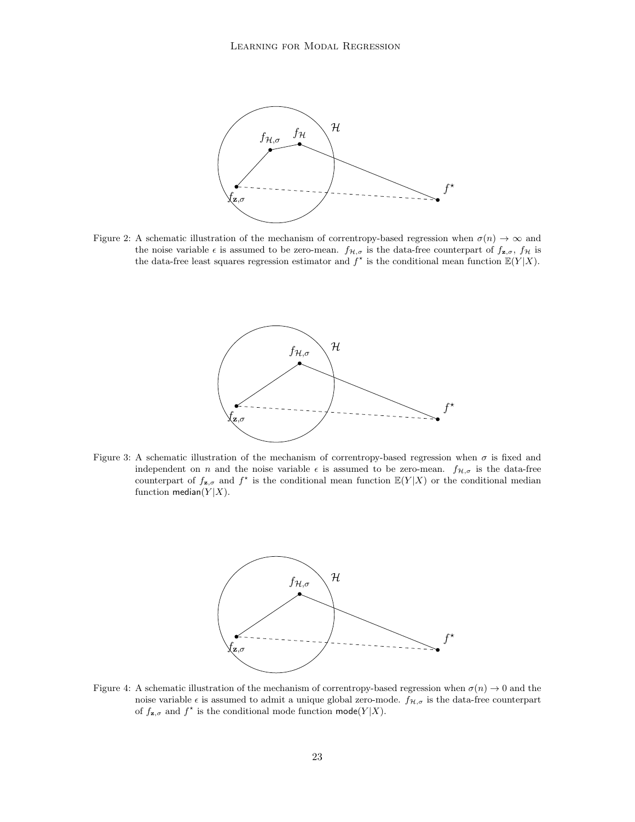<span id="page-22-0"></span>

Figure 2: A schematic illustration of the mechanism of correntropy-based regression when  $\sigma(n) \to \infty$  and the noise variable  $\epsilon$  is assumed to be zero-mean.  $f_{\mathcal{H},\sigma}$  is the data-free counterpart of  $f_{\mathbf{z},\sigma}$ ,  $f_{\mathcal{H}}$  is the data-free least squares regression estimator and  $f^*$  is the conditional mean function  $\mathbb{E}(Y|X)$ .



Figure 3: A schematic illustration of the mechanism of correntropy-based regression when  $\sigma$  is fixed and independent on n and the noise variable  $\epsilon$  is assumed to be zero-mean.  $f_{\mathcal{H},\sigma}$  is the data-free counterpart of  $f_{\mathbf{z},\sigma}$  and  $f^*$  is the conditional mean function  $\mathbb{E}(Y|X)$  or the conditional median function median( $Y|X$ ).



Figure 4: A schematic illustration of the mechanism of correntropy-based regression when  $\sigma(n) \to 0$  and the noise variable  $\epsilon$  is assumed to admit a unique global zero-mode.  $f_{\mathcal{H},\sigma}$  is the data-free counterpart of  $f_{\mathbf{z},\sigma}$  and  $f^*$  is the conditional mode function  $\mathsf{mode}(Y|X)$ .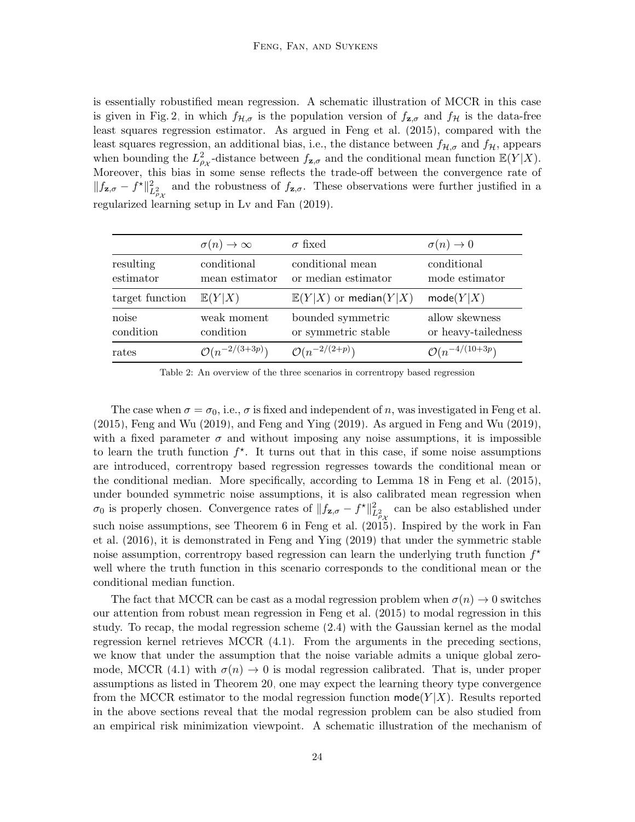is essentially robustified mean regression. A schematic illustration of MCCR in this case is given in Fig. [2,](#page-22-0) in which  $f_{\mathcal{H},\sigma}$  is the population version of  $f_{\mathbf{z},\sigma}$  and  $f_{\mathcal{H}}$  is the data-free least squares regression estimator. As argued in [Feng et al. \(2015\)](#page-32-7), compared with the least squares regression, an additional bias, i.e., the distance between  $f_{\mathcal{H},\sigma}$  and  $f_{\mathcal{H}}$ , appears when bounding the  $L^2_{\rho_X}$ -distance between  $f_{\mathbf{z},\sigma}$  and the conditional mean function  $\mathbb{E}(Y|X)$ . Moreover, this bias in some sense reflects the trade-off between the convergence rate of  $||f_{\mathbf{z},\sigma} - f^*||^2_{L^2_{\rho_X}}$  and the robustness of  $f_{\mathbf{z},\sigma}$ . These observations were further justified in a regularized learning setup in [Lv and Fan \(2019\)](#page-33-14).

<span id="page-23-0"></span>

|                        | $\sigma(n) \to \infty$        | $\sigma$ fixed                           | $\sigma(n) \rightarrow 0$             |
|------------------------|-------------------------------|------------------------------------------|---------------------------------------|
| resulting<br>estimator | conditional<br>mean estimator | conditional mean<br>or median estimator  | conditional<br>mode estimator         |
| target function        | $\mathbb{E}(Y X)$             | $\mathbb{E}(Y X)$ or median( $Y X$ )     | mode(Y X)                             |
| noise<br>condition     | weak moment<br>condition      | bounded symmetric<br>or symmetric stable | allow skewness<br>or heavy-tailedness |
| rates                  | $\mathcal{O}(n^{-2/(3+3p)})$  | $O(n^{-2/(2+p)})$                        | $\mathcal{O}(n^{-4/(10+3p)})$         |

Table 2: An overview of the three scenarios in correntropy based regression

The case when  $\sigma = \sigma_0$ , i.e.,  $\sigma$  is fixed and independent of n, was investigated in [Feng et al.](#page-32-7) [\(2015\)](#page-32-7), [Feng and Wu \(2019\)](#page-32-13), and [Feng and Ying \(2019\)](#page-32-14). As argued in [Feng and Wu \(2019\)](#page-32-13), with a fixed parameter  $\sigma$  and without imposing any noise assumptions, it is impossible to learn the truth function  $f^*$ . It turns out that in this case, if some noise assumptions are introduced, correntropy based regression regresses towards the conditional mean or the conditional median. More specifically, according to Lemma 18 in [Feng et al. \(2015\)](#page-32-7), under bounded symmetric noise assumptions, it is also calibrated mean regression when  $\sigma_0$  is properly chosen. Convergence rates of  $||f_{\mathbf{z},\sigma} - f^{\star}||^2_{L^2_{\rho_X}}$  can be also established under such noise assumptions, see Theorem 6 in [Feng et al. \(2015\)](#page-32-7). Inspired by the work in [Fan](#page-32-8) [et al. \(2016\)](#page-32-8), it is demonstrated in [Feng and Ying \(2019\)](#page-32-14) that under the symmetric stable noise assumption, correntropy based regression can learn the underlying truth function  $f^*$ well where the truth function in this scenario corresponds to the conditional mean or the conditional median function.

The fact that MCCR can be cast as a modal regression problem when  $\sigma(n) \to 0$  switches our attention from robust mean regression in [Feng et al. \(2015\)](#page-32-7) to modal regression in this study. To recap, the modal regression scheme [\(2.4\)](#page-9-0) with the Gaussian kernel as the modal regression kernel retrieves MCCR [\(4.1\)](#page-20-1). From the arguments in the preceding sections, we know that under the assumption that the noise variable admits a unique global zero-mode, MCCR [\(4.1\)](#page-20-1) with  $\sigma(n) \to 0$  is modal regression calibrated. That is, under proper assumptions as listed in Theorem [20,](#page-19-1) one may expect the learning theory type convergence from the MCCR estimator to the modal regression function  $\text{mode}(Y|X)$ . Results reported in the above sections reveal that the modal regression problem can be also studied from an empirical risk minimization viewpoint. A schematic illustration of the mechanism of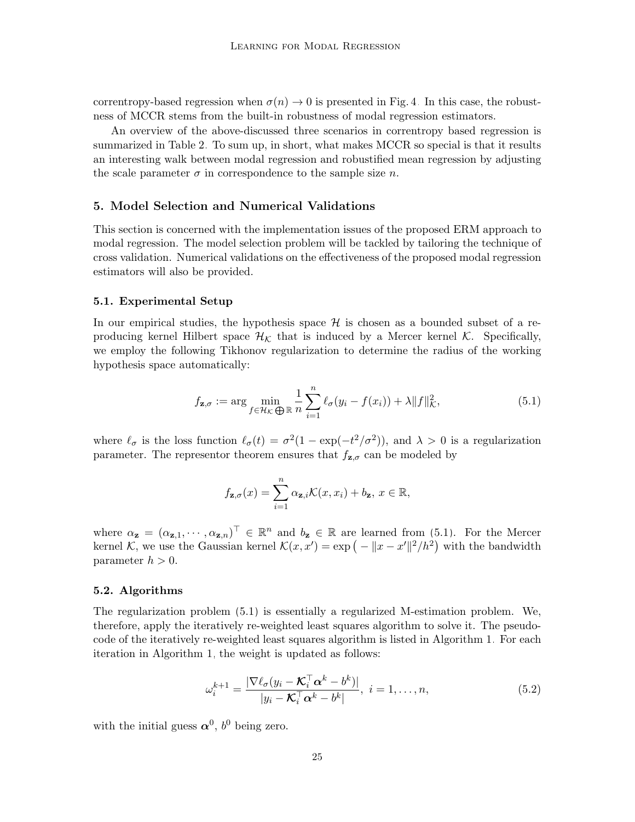correntropy-based regression when  $\sigma(n) \to 0$  is presented in Fig. [4.](#page-22-0) In this case, the robustness of MCCR stems from the built-in robustness of modal regression estimators.

An overview of the above-discussed three scenarios in correntropy based regression is summarized in Table [2.](#page-23-0) To sum up, in short, what makes MCCR so special is that it results an interesting walk between modal regression and robustified mean regression by adjusting the scale parameter  $\sigma$  in correspondence to the sample size n.

### <span id="page-24-0"></span>5. Model Selection and Numerical Validations

This section is concerned with the implementation issues of the proposed ERM approach to modal regression. The model selection problem will be tackled by tailoring the technique of cross validation. Numerical validations on the effectiveness of the proposed modal regression estimators will also be provided.

#### 5.1. Experimental Setup

In our empirical studies, the hypothesis space  $\mathcal H$  is chosen as a bounded subset of a reproducing kernel Hilbert space  $\mathcal{H}_K$  that is induced by a Mercer kernel K. Specifically, we employ the following Tikhonov regularization to determine the radius of the working hypothesis space automatically:

$$
f_{\mathbf{z},\sigma} := \arg\min_{f \in \mathcal{H}_{\mathcal{K}}} \frac{1}{\bigoplus \mathbb{R}} \frac{1}{n} \sum_{i=1}^{n} \ell_{\sigma}(y_i - f(x_i)) + \lambda \|f\|_{\mathcal{K}}^2,
$$
\n(5.1)

where  $\ell_{\sigma}$  is the loss function  $\ell_{\sigma}(t) = \sigma^2(1 - \exp(-t^2/\sigma^2))$ , and  $\lambda > 0$  is a regularization parameter. The representor theorem ensures that  $f_{\mathbf{z},\sigma}$  can be modeled by

<span id="page-24-1"></span>
$$
f_{\mathbf{z},\sigma}(x) = \sum_{i=1}^{n} \alpha_{\mathbf{z},i} \mathcal{K}(x, x_i) + b_{\mathbf{z}}, \ x \in \mathbb{R},
$$

where  $\alpha_{\mathbf{z}} = (\alpha_{\mathbf{z},1}, \cdots, \alpha_{\mathbf{z},n})^{\top} \in \mathbb{R}^{n}$  and  $b_{\mathbf{z}} \in \mathbb{R}$  are learned from [\(5.1\)](#page-24-1). For the Mercer kernel K, we use the Gaussian kernel  $\mathcal{K}(x, x') = \exp(-||x - x'||^2/h^2)$  with the bandwidth parameter  $h > 0$ .

#### 5.2. Algorithms

The regularization problem [\(5.1\)](#page-24-1) is essentially a regularized M-estimation problem. We, therefore, apply the iteratively re-weighted least squares algorithm to solve it. The pseudocode of the iteratively re-weighted least squares algorithm is listed in Algorithm [1.](#page-25-0) For each iteration in Algorithm [1,](#page-25-0) the weight is updated as follows:

<span id="page-24-2"></span>
$$
\omega_i^{k+1} = \frac{|\nabla \ell_{\sigma}(y_i - \mathcal{K}_i^{\top} \alpha^k - b^k)|}{|y_i - \mathcal{K}_i^{\top} \alpha^k - b^k|}, \ i = 1, \dots, n,
$$
\n(5.2)

with the initial guess  $\alpha^0$ ,  $b^0$  being zero.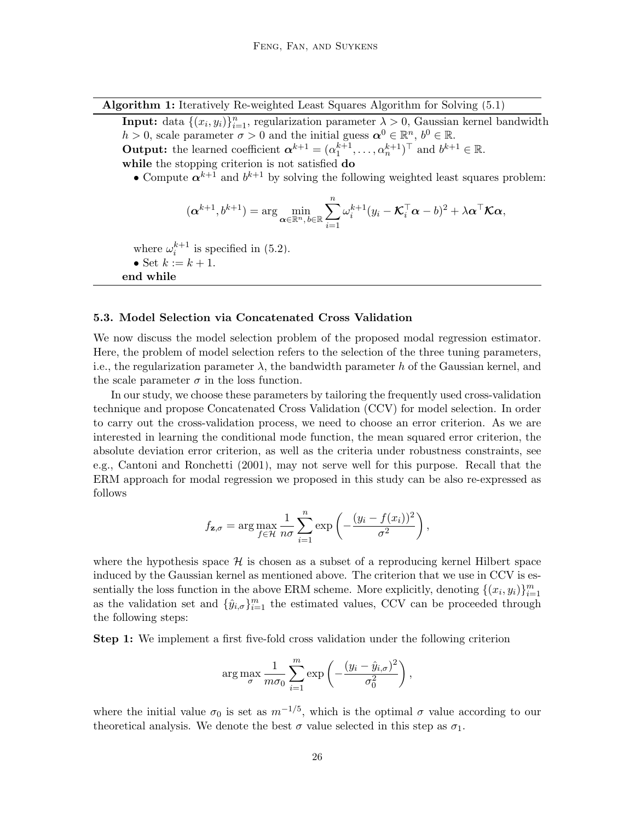Algorithm 1: Iteratively Re-weighted Least Squares Algorithm for Solving [\(5.1\)](#page-24-1)

<span id="page-25-0"></span>**Input:** data  $\{(x_i, y_i)\}_{i=1}^n$ , regularization parameter  $\lambda > 0$ , Gaussian kernel bandwidth  $h > 0$ , scale parameter  $\sigma > 0$  and the initial guess  $\boldsymbol{\alpha}^0 \in \mathbb{R}^n$ ,  $b^0 \in \mathbb{R}$ .

**Output:** the learned coefficient  $\boldsymbol{\alpha}^{k+1} = (\alpha_1^{k+1}, \dots, \alpha_n^{k+1})^{\top}$  and  $b^{k+1} \in \mathbb{R}$ .

while the stopping criterion is not satisfied do

• Compute  $\alpha^{k+1}$  and  $b^{k+1}$  by solving the following weighted least squares problem:

$$
(\boldsymbol{\alpha}^{k+1},b^{k+1}) = \arg\min_{\boldsymbol{\alpha}\in\mathbb{R}^n,\,b\in\mathbb{R}}\sum_{i=1}^n\omega_i^{k+1}(y_i-\boldsymbol{\mathcal{K}}_i^\top\boldsymbol{\alpha}-b)^2 + \lambda\boldsymbol{\alpha}^\top\boldsymbol{\mathcal{K}}\boldsymbol{\alpha},
$$

where  $\omega_i^{k+1}$  is specified in [\(5.2\)](#page-24-2).

• Set  $k := k + 1$ .

end while

#### 5.3. Model Selection via Concatenated Cross Validation

We now discuss the model selection problem of the proposed modal regression estimator. Here, the problem of model selection refers to the selection of the three tuning parameters, i.e., the regularization parameter  $\lambda$ , the bandwidth parameter h of the Gaussian kernel, and the scale parameter  $\sigma$  in the loss function.

In our study, we choose these parameters by tailoring the frequently used cross-validation technique and propose Concatenated Cross Validation (CCV) for model selection. In order to carry out the cross-validation process, we need to choose an error criterion. As we are interested in learning the conditional mode function, the mean squared error criterion, the absolute deviation error criterion, as well as the criteria under robustness constraints, see e.g., [Cantoni and Ronchetti \(2001\)](#page-31-14), may not serve well for this purpose. Recall that the ERM approach for modal regression we proposed in this study can be also re-expressed as follows

$$
f_{\mathbf{z},\sigma} = \arg \max_{f \in \mathcal{H}} \frac{1}{n\sigma} \sum_{i=1}^{n} \exp \left(-\frac{(y_i - f(x_i))^2}{\sigma^2}\right),
$$

where the hypothesis space  $\mathcal{H}$  is chosen as a subset of a reproducing kernel Hilbert space induced by the Gaussian kernel as mentioned above. The criterion that we use in CCV is essentially the loss function in the above ERM scheme. More explicitly, denoting  $\{(x_i, y_i)\}_{i=1}^m$ as the validation set and  $\{\hat{y}_{i,\sigma}\}_{i=1}^m$  the estimated values, CCV can be proceeded through the following steps:

Step 1: We implement a first five-fold cross validation under the following criterion

$$
\arg \max_{\sigma} \frac{1}{m \sigma_0} \sum_{i=1}^{m} \exp \left(-\frac{(y_i - \hat{y}_{i,\sigma})^2}{\sigma_0^2}\right),\,
$$

where the initial value  $\sigma_0$  is set as  $m^{-1/5}$ , which is the optimal  $\sigma$  value according to our theoretical analysis. We denote the best  $\sigma$  value selected in this step as  $\sigma_1$ .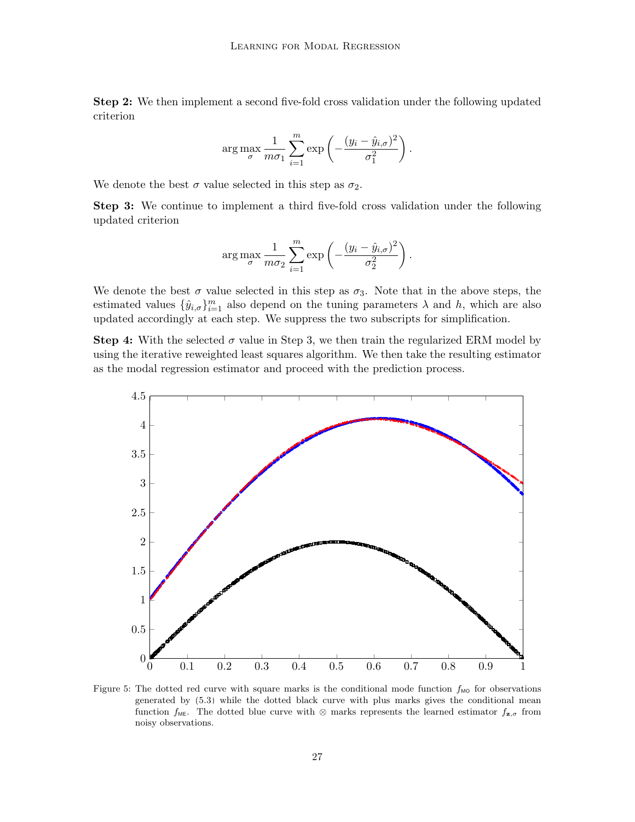Step 2: We then implement a second five-fold cross validation under the following updated criterion

$$
\arg \max_{\sigma} \frac{1}{m \sigma_1} \sum_{i=1}^{m} \exp \left(-\frac{(y_i - \hat{y}_{i,\sigma})^2}{\sigma_1^2}\right).
$$

We denote the best  $\sigma$  value selected in this step as  $\sigma_2$ .

Step 3: We continue to implement a third five-fold cross validation under the following updated criterion

$$
\arg \max_{\sigma} \frac{1}{m \sigma_2} \sum_{i=1}^{m} \exp \left(-\frac{(y_i - \hat{y}_{i,\sigma})^2}{\sigma_2^2}\right).
$$

We denote the best  $\sigma$  value selected in this step as  $\sigma_3$ . Note that in the above steps, the estimated values  $\{\hat{y}_{i,\sigma}\}_{i=1}^m$  also depend on the tuning parameters  $\lambda$  and  $h$ , which are also updated accordingly at each step. We suppress the two subscripts for simplification.

**Step 4:** With the selected  $\sigma$  value in Step 3, we then train the regularized ERM model by using the iterative reweighted least squares algorithm. We then take the resulting estimator as the modal regression estimator and proceed with the prediction process.

<span id="page-26-0"></span>

Figure 5: The dotted red curve with square marks is the conditional mode function  $f_{\text{MO}}$  for observations generated by [\(5.3\)](#page-27-0) while the dotted black curve with plus marks gives the conditional mean function  $f_{\text{ME}}$ . The dotted blue curve with ⊗ marks represents the learned estimator  $f_{z,\sigma}$  from noisy observations.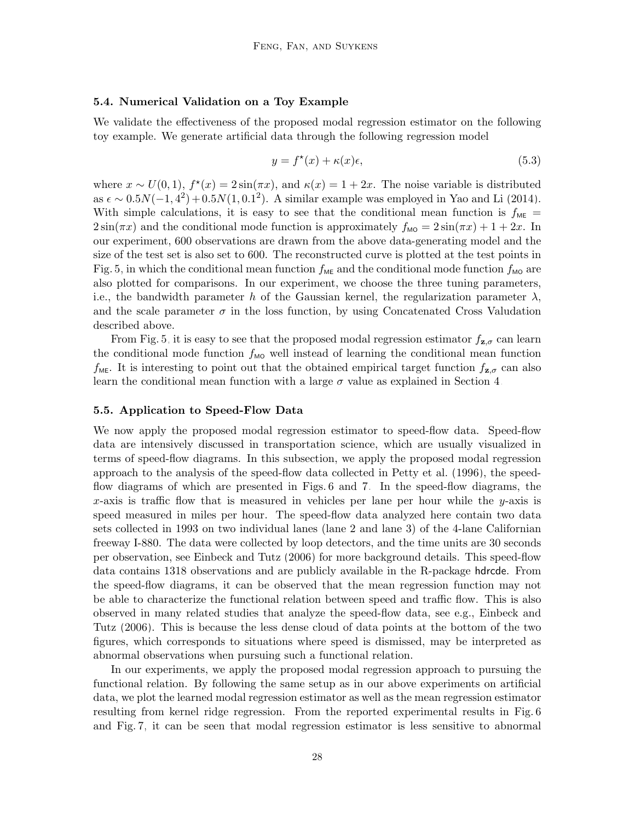#### 5.4. Numerical Validation on a Toy Example

We validate the effectiveness of the proposed modal regression estimator on the following toy example. We generate artificial data through the following regression model

<span id="page-27-0"></span>
$$
y = f^*(x) + \kappa(x)\epsilon,\tag{5.3}
$$

where  $x \sim U(0, 1)$ ,  $f^*(x) = 2\sin(\pi x)$ , and  $\kappa(x) = 1 + 2x$ . The noise variable is distributed as  $\epsilon \sim 0.5N(-1, 4^2) + 0.5N(1, 0.1^2)$ . A similar example was employed in [Yao and Li \(2014\)](#page-34-3). With simple calculations, it is easy to see that the conditional mean function is  $f_{ME}$  =  $2\sin(\pi x)$  and the conditional mode function is approximately  $f_{\text{MO}} = 2\sin(\pi x) + 1 + 2x$ . In our experiment, 600 observations are drawn from the above data-generating model and the size of the test set is also set to 600. The reconstructed curve is plotted at the test points in Fig. [5,](#page-26-0) in which the conditional mean function  $f_{\text{ME}}$  and the conditional mode function  $f_{\text{MO}}$  are also plotted for comparisons. In our experiment, we choose the three tuning parameters, i.e., the bandwidth parameter h of the Gaussian kernel, the regularization parameter  $\lambda$ , and the scale parameter  $\sigma$  in the loss function, by using Concatenated Cross Valudation described above.

From Fig. [5,](#page-26-0) it is easy to see that the proposed modal regression estimator  $f_{\mathbf{z},\sigma}$  can learn the conditional mode function  $f_{\text{MO}}$  well instead of learning the conditional mean function  $f_{\text{ME}}$ . It is interesting to point out that the obtained empirical target function  $f_{\mathbf{z},\sigma}$  can also learn the conditional mean function with a large  $\sigma$  value as explained in Section [4.](#page-20-0)

#### 5.5. Application to Speed-Flow Data

We now apply the proposed modal regression estimator to speed-flow data. Speed-flow data are intensively discussed in transportation science, which are usually visualized in terms of speed-flow diagrams. In this subsection, we apply the proposed modal regression approach to the analysis of the speed-flow data collected in [Petty et al. \(1996\)](#page-33-15), the speedflow diagrams of which are presented in Figs. [6](#page-28-0) and [7.](#page-29-0) In the speed-flow diagrams, the x-axis is traffic flow that is measured in vehicles per lane per hour while the y-axis is speed measured in miles per hour. The speed-flow data analyzed here contain two data sets collected in 1993 on two individual lanes (lane 2 and lane 3) of the 4-lane Californian freeway I-880. The data were collected by loop detectors, and the time units are 30 seconds per observation, see [Einbeck and Tutz \(2006\)](#page-32-0) for more background details. This speed-flow data contains 1318 observations and are publicly available in the R-package hdrcde. From the speed-flow diagrams, it can be observed that the mean regression function may not be able to characterize the functional relation between speed and traffic flow. This is also observed in many related studies that analyze the speed-flow data, see e.g., [Einbeck and](#page-32-0) [Tutz \(2006\)](#page-32-0). This is because the less dense cloud of data points at the bottom of the two figures, which corresponds to situations where speed is dismissed, may be interpreted as abnormal observations when pursuing such a functional relation.

In our experiments, we apply the proposed modal regression approach to pursuing the functional relation. By following the same setup as in our above experiments on artificial data, we plot the learned modal regression estimator as well as the mean regression estimator resulting from kernel ridge regression. From the reported experimental results in Fig. [6](#page-28-0) and Fig. [7,](#page-29-0) it can be seen that modal regression estimator is less sensitive to abnormal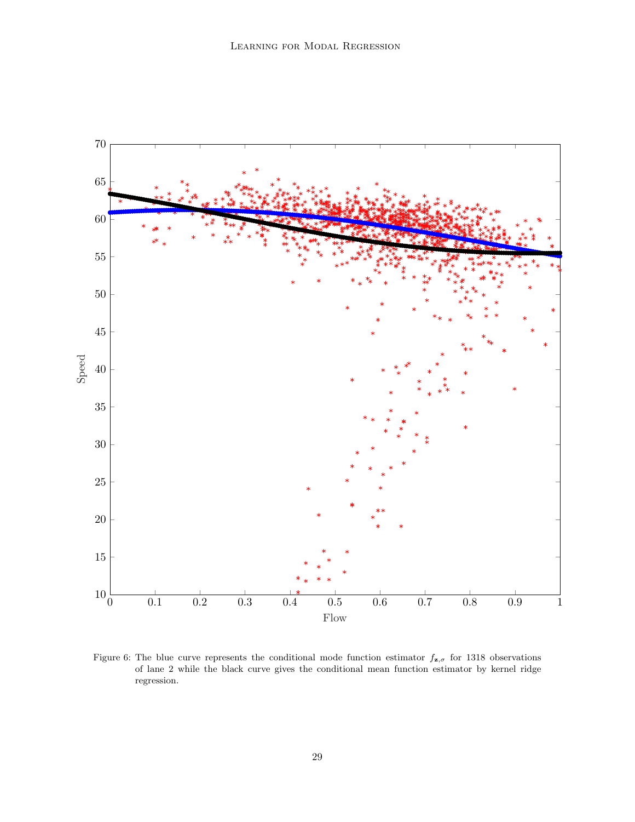<span id="page-28-0"></span>

Figure 6: The blue curve represents the conditional mode function estimator  $f_{\mathbf{z},\sigma}$  for 1318 observations of lane 2 while the black curve gives the conditional mean function estimator by kernel ridge regression.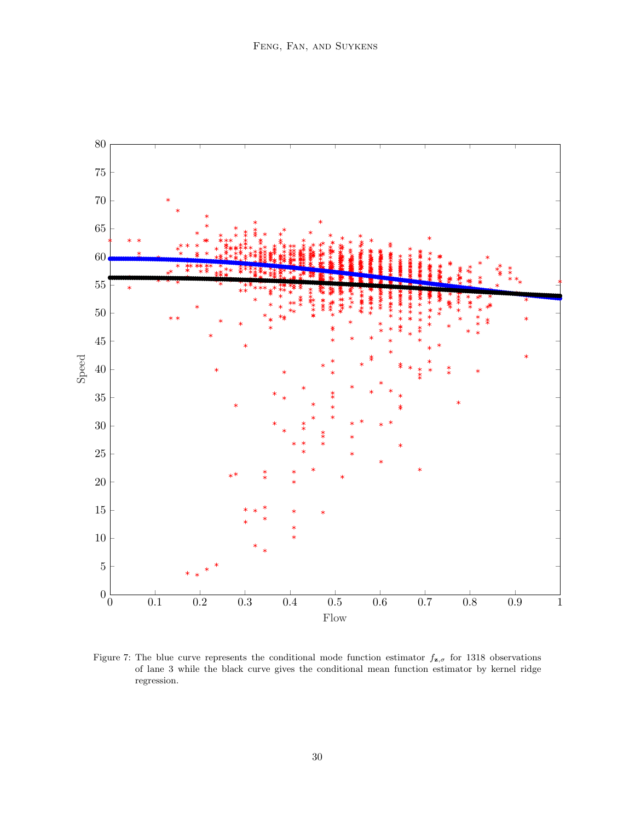<span id="page-29-0"></span>

Figure 7: The blue curve represents the conditional mode function estimator  $f_{\mathbf{z},\sigma}$  for 1318 observations of lane 3 while the black curve gives the conditional mean function estimator by kernel ridge regression.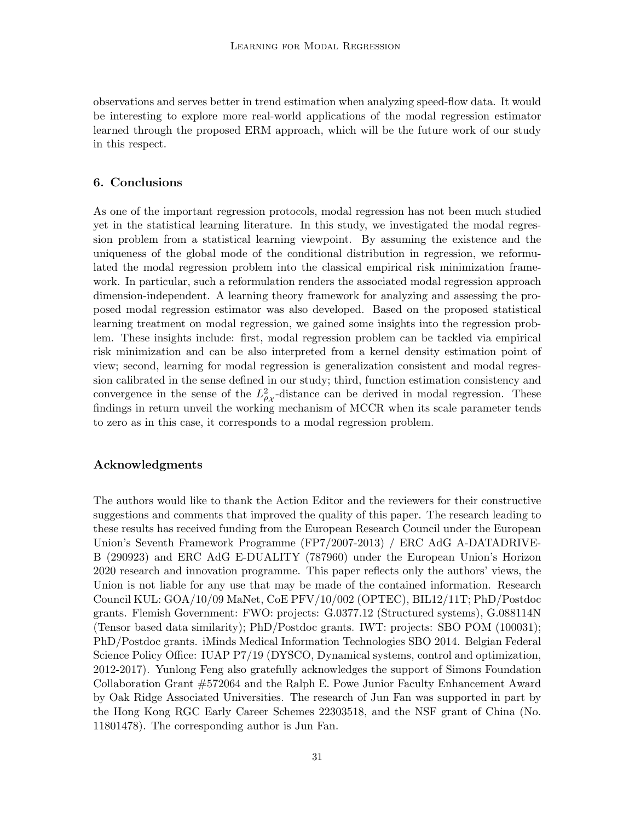observations and serves better in trend estimation when analyzing speed-flow data. It would be interesting to explore more real-world applications of the modal regression estimator learned through the proposed ERM approach, which will be the future work of our study in this respect.

# <span id="page-30-0"></span>6. Conclusions

As one of the important regression protocols, modal regression has not been much studied yet in the statistical learning literature. In this study, we investigated the modal regression problem from a statistical learning viewpoint. By assuming the existence and the uniqueness of the global mode of the conditional distribution in regression, we reformulated the modal regression problem into the classical empirical risk minimization framework. In particular, such a reformulation renders the associated modal regression approach dimension-independent. A learning theory framework for analyzing and assessing the proposed modal regression estimator was also developed. Based on the proposed statistical learning treatment on modal regression, we gained some insights into the regression problem. These insights include: first, modal regression problem can be tackled via empirical risk minimization and can be also interpreted from a kernel density estimation point of view; second, learning for modal regression is generalization consistent and modal regression calibrated in the sense defined in our study; third, function estimation consistency and convergence in the sense of the  $L^2_{\rho_X}$ -distance can be derived in modal regression. These findings in return unveil the working mechanism of MCCR when its scale parameter tends to zero as in this case, it corresponds to a modal regression problem.

#### Acknowledgments

The authors would like to thank the Action Editor and the reviewers for their constructive suggestions and comments that improved the quality of this paper. The research leading to these results has received funding from the European Research Council under the European Union's Seventh Framework Programme (FP7/2007-2013) / ERC AdG A-DATADRIVE-B (290923) and ERC AdG E-DUALITY (787960) under the European Union's Horizon 2020 research and innovation programme. This paper reflects only the authors' views, the Union is not liable for any use that may be made of the contained information. Research Council KUL: GOA/10/09 MaNet, CoE PFV/10/002 (OPTEC), BIL12/11T; PhD/Postdoc grants. Flemish Government: FWO: projects: G.0377.12 (Structured systems), G.088114N (Tensor based data similarity); PhD/Postdoc grants. IWT: projects: SBO POM (100031); PhD/Postdoc grants. iMinds Medical Information Technologies SBO 2014. Belgian Federal Science Policy Office: IUAP P7/19 (DYSCO, Dynamical systems, control and optimization, 2012-2017). Yunlong Feng also gratefully acknowledges the support of Simons Foundation Collaboration Grant #572064 and the Ralph E. Powe Junior Faculty Enhancement Award by Oak Ridge Associated Universities. The research of Jun Fan was supported in part by the Hong Kong RGC Early Career Schemes 22303518, and the NSF grant of China (No. 11801478). The corresponding author is Jun Fan.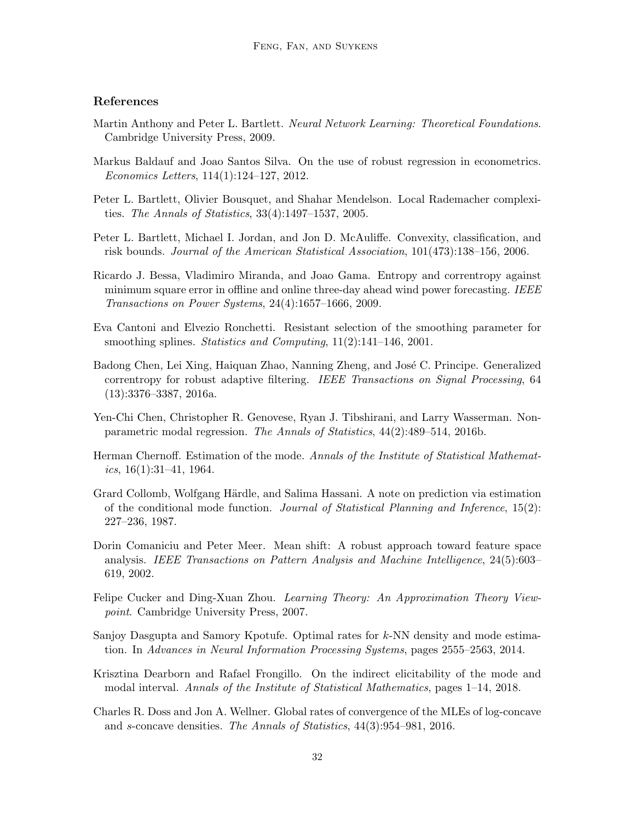# References

- <span id="page-31-8"></span>Martin Anthony and Peter L. Bartlett. Neural Network Learning: Theoretical Foundations. Cambridge University Press, 2009.
- <span id="page-31-5"></span>Markus Baldauf and Joao Santos Silva. On the use of robust regression in econometrics. Economics Letters, 114(1):124–127, 2012.
- <span id="page-31-9"></span>Peter L. Bartlett, Olivier Bousquet, and Shahar Mendelson. Local Rademacher complexities. The Annals of Statistics, 33(4):1497–1537, 2005.
- <span id="page-31-7"></span>Peter L. Bartlett, Michael I. Jordan, and Jon D. McAuliffe. Convexity, classification, and risk bounds. Journal of the American Statistical Association, 101(473):138–156, 2006.
- <span id="page-31-12"></span>Ricardo J. Bessa, Vladimiro Miranda, and Joao Gama. Entropy and correntropy against minimum square error in offline and online three-day ahead wind power forecasting. IEEE Transactions on Power Systems, 24(4):1657–1666, 2009.
- <span id="page-31-14"></span>Eva Cantoni and Elvezio Ronchetti. Resistant selection of the smoothing parameter for smoothing splines. *Statistics and Computing*, 11(2):141–146, 2001.
- <span id="page-31-13"></span>Badong Chen, Lei Xing, Haiquan Zhao, Nanning Zheng, and José C. Principe. Generalized correntropy for robust adaptive filtering. IEEE Transactions on Signal Processing, 64 (13):3376–3387, 2016a.
- <span id="page-31-4"></span>Yen-Chi Chen, Christopher R. Genovese, Ryan J. Tibshirani, and Larry Wasserman. Nonparametric modal regression. The Annals of Statistics, 44(2):489–514, 2016b.
- <span id="page-31-1"></span>Herman Chernoff. Estimation of the mode. Annals of the Institute of Statistical Mathematics,  $16(1):31-41$ , 1964.
- <span id="page-31-0"></span>Grard Collomb, Wolfgang Härdle, and Salima Hassani. A note on prediction via estimation of the conditional mode function. Journal of Statistical Planning and Inference, 15(2): 227–236, 1987.
- <span id="page-31-2"></span>Dorin Comaniciu and Peter Meer. Mean shift: A robust approach toward feature space analysis. IEEE Transactions on Pattern Analysis and Machine Intelligence, 24(5):603– 619, 2002.
- <span id="page-31-6"></span>Felipe Cucker and Ding-Xuan Zhou. Learning Theory: An Approximation Theory Viewpoint. Cambridge University Press, 2007.
- <span id="page-31-3"></span>Sanjoy Dasgupta and Samory Kpotufe. Optimal rates for  $k$ -NN density and mode estimation. In Advances in Neural Information Processing Systems, pages 2555–2563, 2014.
- <span id="page-31-10"></span>Krisztina Dearborn and Rafael Frongillo. On the indirect elicitability of the mode and modal interval. Annals of the Institute of Statistical Mathematics, pages 1–14, 2018.
- <span id="page-31-11"></span>Charles R. Doss and Jon A. Wellner. Global rates of convergence of the MLEs of log-concave and s-concave densities. The Annals of Statistics, 44(3):954–981, 2016.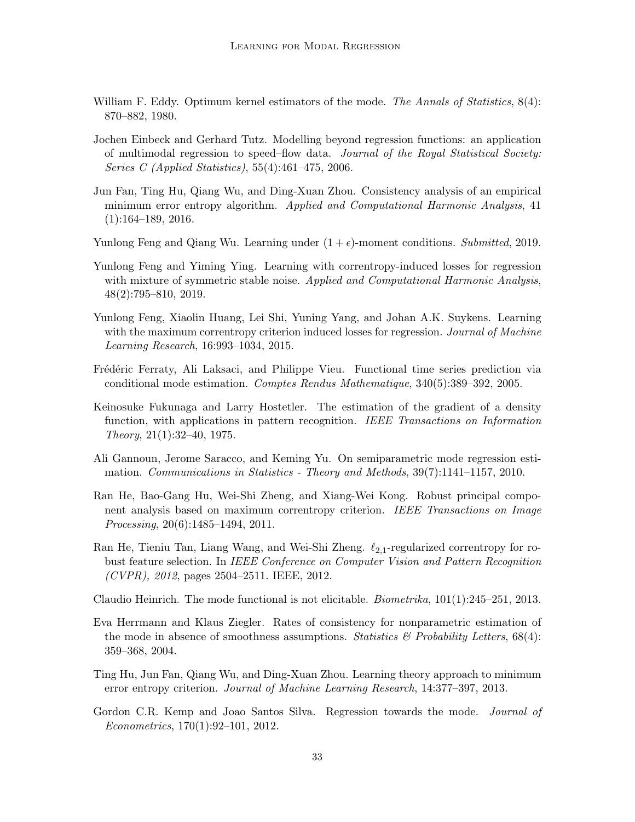- <span id="page-32-2"></span>William F. Eddy. Optimum kernel estimators of the mode. The Annals of Statistics,  $8(4)$ : 870–882, 1980.
- <span id="page-32-0"></span>Jochen Einbeck and Gerhard Tutz. Modelling beyond regression functions: an application of multimodal regression to speed–flow data. Journal of the Royal Statistical Society: Series C (Applied Statistics), 55(4):461–475, 2006.
- <span id="page-32-8"></span>Jun Fan, Ting Hu, Qiang Wu, and Ding-Xuan Zhou. Consistency analysis of an empirical minimum error entropy algorithm. Applied and Computational Harmonic Analysis, 41 (1):164–189, 2016.
- <span id="page-32-13"></span>Yunlong Feng and Qiang Wu. Learning under  $(1 + \epsilon)$ -moment conditions. Submitted, 2019.
- <span id="page-32-14"></span>Yunlong Feng and Yiming Ying. Learning with correntropy-induced losses for regression with mixture of symmetric stable noise. Applied and Computational Harmonic Analysis, 48(2):795–810, 2019.
- <span id="page-32-7"></span>Yunlong Feng, Xiaolin Huang, Lei Shi, Yuning Yang, and Johan A.K. Suykens. Learning with the maximum correntropy criterion induced losses for regression. *Journal of Machine* Learning Research, 16:993–1034, 2015.
- <span id="page-32-5"></span>Frédéric Ferraty, Ali Laksaci, and Philippe Vieu. Functional time series prediction via conditional mode estimation. Comptes Rendus Mathematique, 340(5):389–392, 2005.
- <span id="page-32-1"></span>Keinosuke Fukunaga and Larry Hostetler. The estimation of the gradient of a density function, with applications in pattern recognition. IEEE Transactions on Information Theory, 21(1):32–40, 1975.
- <span id="page-32-6"></span>Ali Gannoun, Jerome Saracco, and Keming Yu. On semiparametric mode regression estimation. Communications in Statistics - Theory and Methods, 39(7):1141–1157, 2010.
- <span id="page-32-10"></span>Ran He, Bao-Gang Hu, Wei-Shi Zheng, and Xiang-Wei Kong. Robust principal component analysis based on maximum correntropy criterion. IEEE Transactions on Image Processing, 20(6):1485–1494, 2011.
- <span id="page-32-11"></span>Ran He, Tieniu Tan, Liang Wang, and Wei-Shi Zheng.  $\ell_{2,1}$ -regularized correntropy for robust feature selection. In IEEE Conference on Computer Vision and Pattern Recognition  $(CVPR)$ , 2012, pages 2504-2511. IEEE, 2012.
- <span id="page-32-9"></span>Claudio Heinrich. The mode functional is not elicitable. *Biometrika*,  $101(1):245-251$ ,  $2013$ .
- <span id="page-32-4"></span>Eva Herrmann and Klaus Ziegler. Rates of consistency for nonparametric estimation of the mode in absence of smoothness assumptions. Statistics  $\mathscr{C}$  Probability Letters, 68(4): 359–368, 2004.
- <span id="page-32-12"></span>Ting Hu, Jun Fan, Qiang Wu, and Ding-Xuan Zhou. Learning theory approach to minimum error entropy criterion. Journal of Machine Learning Research, 14:377–397, 2013.
- <span id="page-32-3"></span>Gordon C.R. Kemp and Joao Santos Silva. Regression towards the mode. *Journal of* Econometrics, 170(1):92–101, 2012.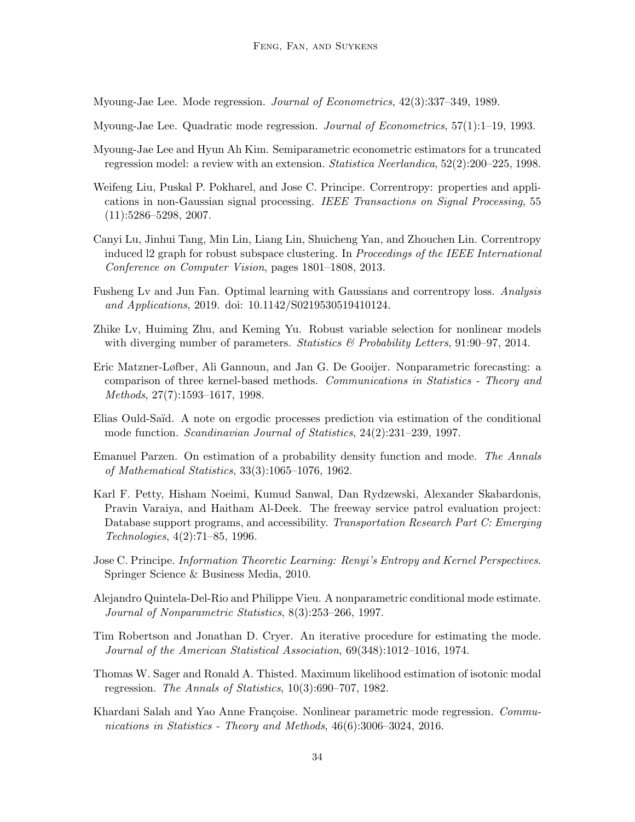<span id="page-33-1"></span>Myoung-Jae Lee. Mode regression. Journal of Econometrics, 42(3):337–349, 1989.

- <span id="page-33-2"></span>Myoung-Jae Lee. Quadratic mode regression. Journal of Econometrics, 57(1):1–19, 1993.
- <span id="page-33-8"></span>Myoung-Jae Lee and Hyun Ah Kim. Semiparametric econometric estimators for a truncated regression model: a review with an extension. Statistica Neerlandica, 52(2):200–225, 1998.
- <span id="page-33-11"></span>Weifeng Liu, Puskal P. Pokharel, and Jose C. Principe. Correntropy: properties and applications in non-Gaussian signal processing. IEEE Transactions on Signal Processing, 55 (11):5286–5298, 2007.
- <span id="page-33-13"></span>Canyi Lu, Jinhui Tang, Min Lin, Liang Lin, Shuicheng Yan, and Zhouchen Lin. Correntropy induced l2 graph for robust subspace clustering. In Proceedings of the IEEE International Conference on Computer Vision, pages 1801–1808, 2013.
- <span id="page-33-14"></span>Fusheng Lv and Jun Fan. Optimal learning with Gaussians and correntropy loss. Analysis and Applications, 2019. doi: 10.1142/S0219530519410124.
- <span id="page-33-9"></span>Zhike Lv, Huiming Zhu, and Keming Yu. Robust variable selection for nonlinear models with diverging number of parameters. Statistics  $\mathcal{B}'$  Probability Letters, 91:90–97, 2014.
- <span id="page-33-3"></span>Eric Matzner-Løfber, Ali Gannoun, and Jan G. De Gooijer. Nonparametric forecasting: a comparison of three kernel-based methods. Communications in Statistics - Theory and Methods, 27(7):1593–1617, 1998.
- <span id="page-33-7"></span>Elias Ould-Sa¨ıd. A note on ergodic processes prediction via estimation of the conditional mode function. Scandinavian Journal of Statistics, 24(2):231–239, 1997.
- <span id="page-33-4"></span>Emanuel Parzen. On estimation of a probability density function and mode. The Annals of Mathematical Statistics, 33(3):1065–1076, 1962.
- <span id="page-33-15"></span>Karl F. Petty, Hisham Noeimi, Kumud Sanwal, Dan Rydzewski, Alexander Skabardonis, Pravin Varaiya, and Haitham Al-Deek. The freeway service patrol evaluation project: Database support programs, and accessibility. Transportation Research Part C: Emerging Technologies, 4(2):71–85, 1996.
- <span id="page-33-12"></span>Jose C. Principe. Information Theoretic Learning: Renyi's Entropy and Kernel Perspectives. Springer Science & Business Media, 2010.
- <span id="page-33-6"></span>Alejandro Quintela-Del-Rio and Philippe Vieu. A nonparametric conditional mode estimate. Journal of Nonparametric Statistics, 8(3):253–266, 1997.
- <span id="page-33-5"></span>Tim Robertson and Jonathan D. Cryer. An iterative procedure for estimating the mode. Journal of the American Statistical Association, 69(348):1012–1016, 1974.
- <span id="page-33-0"></span>Thomas W. Sager and Ronald A. Thisted. Maximum likelihood estimation of isotonic modal regression. The Annals of Statistics, 10(3):690–707, 1982.
- <span id="page-33-10"></span>Khardani Salah and Yao Anne Françoise. Nonlinear parametric mode regression. Communications in Statistics - Theory and Methods, 46(6):3006–3024, 2016.